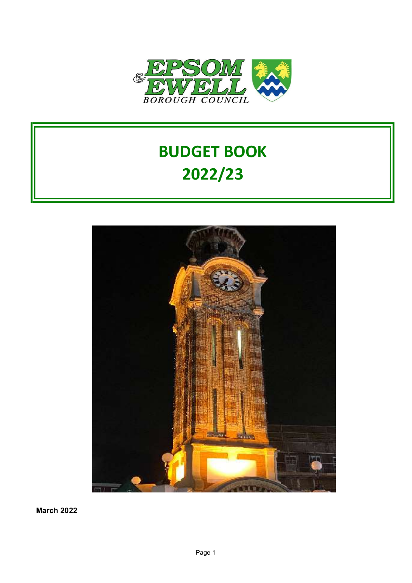

# BUDGET BOOK 2022/23



March 2022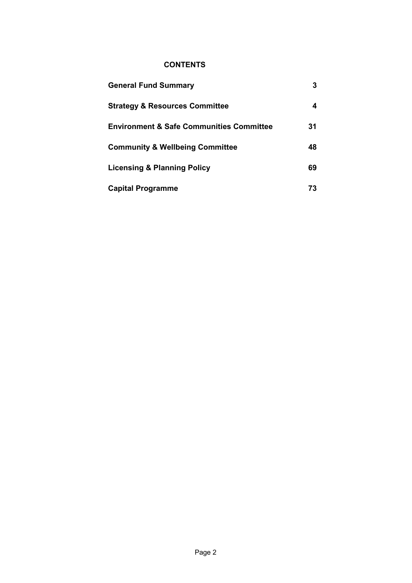#### **CONTENTS**

| <b>General Fund Summary</b>                         |    |
|-----------------------------------------------------|----|
| <b>Strategy &amp; Resources Committee</b>           | 4  |
| <b>Environment &amp; Safe Communities Committee</b> | 31 |
| <b>Community &amp; Wellbeing Committee</b>          | 48 |
| <b>Licensing &amp; Planning Policy</b>              | 69 |
| <b>Capital Programme</b>                            | 73 |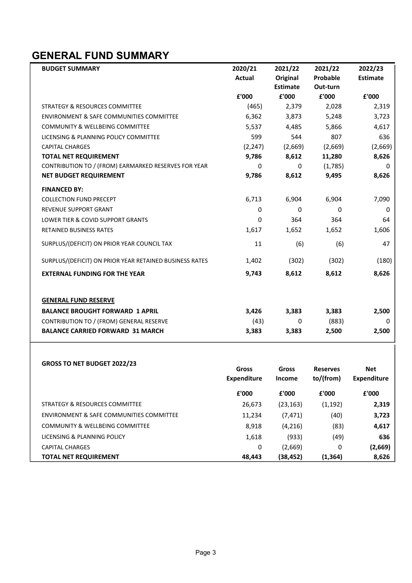### GENERAL FUND SUMMARY

| <b>BUDGET SUMMARY</b>                                   | 2020/21       | 2021/22         | 2021/22         | 2022/23         |
|---------------------------------------------------------|---------------|-----------------|-----------------|-----------------|
|                                                         | <b>Actual</b> | Original        | Probable        | <b>Estimate</b> |
|                                                         |               | <b>Estimate</b> | Out-turn        |                 |
|                                                         | £'000         | £'000           | £'000           | £'000           |
| <b>STRATEGY &amp; RESOURCES COMMITTEE</b>               | (465)         | 2,379           | 2,028           | 2,319           |
| <b>ENVIRONMENT &amp; SAFE COMMUNITIES COMMITTEE</b>     | 6,362         | 3,873           | 5,248           | 3,723           |
| <b>COMMUNITY &amp; WELLBEING COMMITTEE</b>              | 5,537         | 4,485           | 5,866           | 4,617           |
| LICENSING & PLANNING POLICY COMMITTEE                   | 599           | 544             | 807             | 636             |
| <b>CAPITAL CHARGES</b>                                  | (2, 247)      | (2,669)         | (2,669)         | (2,669)         |
| <b>TOTAL NET REQUIREMENT</b>                            | 9,786         | 8,612           | 11,280          | 8,626           |
| CONTRIBUTION TO / (FROM) EARMARKED RESERVES FOR YEAR    | $\Omega$      | 0               | (1,785)         | 0               |
| <b>NET BUDGET REQUIREMENT</b>                           | 9,786         | 8,612           | 9,495           | 8,626           |
| <b>FINANCED BY:</b>                                     |               |                 |                 |                 |
| <b>COLLECTION FUND PRECEPT</b>                          | 6,713         | 6,904           | 6,904           | 7,090           |
| <b>REVENUE SUPPORT GRANT</b>                            | $\Omega$      | 0               | 0               | 0               |
| LOWER TIER & COVID SUPPORT GRANTS                       | 0             | 364             | 364             | 64              |
| <b>RETAINED BUSINESS RATES</b>                          | 1,617         | 1,652           | 1,652           | 1,606           |
| SURPLUS/(DEFICIT) ON PRIOR YEAR COUNCIL TAX             | 11            | (6)             | (6)             | 47              |
| SURPLUS/(DEFICIT) ON PRIOR YEAR RETAINED BUSINESS RATES | 1,402         | (302)           | (302)           | (180)           |
| <b>EXTERNAL FUNDING FOR THE YEAR</b>                    | 9,743         | 8,612           | 8,612           | 8,626           |
| <b>GENERAL FUND RESERVE</b>                             |               |                 |                 |                 |
| <b>BALANCE BROUGHT FORWARD 1 APRIL</b>                  | 3,426         | 3,383           | 3,383           | 2,500           |
| CONTRIBUTION TO / (FROM) GENERAL RESERVE                | (43)          | 0               | (883)           | 0               |
| <b>BALANCE CARRIED FORWARD 31 MARCH</b>                 | 3,383         | 3,383           | 2,500           | 2,500           |
| <b>GROSS TO NET BUDGET 2022/23</b>                      | Gross         | <b>Gross</b>    | <b>Reserves</b> | Net             |
|                                                         |               |                 |                 |                 |

|                                            | <b>Expenditure</b> | <b>Income</b> | to/(from) | <b>Expenditure</b> |
|--------------------------------------------|--------------------|---------------|-----------|--------------------|
|                                            | £'000              | £'000         | £'000     | £'000              |
| STRATEGY & RESOURCES COMMITTEE             | 26,673             | (23, 163)     | (1, 192)  | 2,319              |
| ENVIRONMENT & SAFE COMMUNITIES COMMITTEE   | 11,234             | (7, 471)      | (40)      | 3,723              |
| <b>COMMUNITY &amp; WELLBEING COMMITTEE</b> | 8,918              | (4, 216)      | (83)      | 4,617              |
| LICENSING & PLANNING POLICY                | 1,618              | (933)         | (49)      | 636                |
| <b>CAPITAL CHARGES</b>                     | 0                  | (2,669)       | 0         | (2,669)            |
| <b>TOTAL NET REQUIREMENT</b>               | 48.443             | (38, 452)     | (1, 364)  | 8,626              |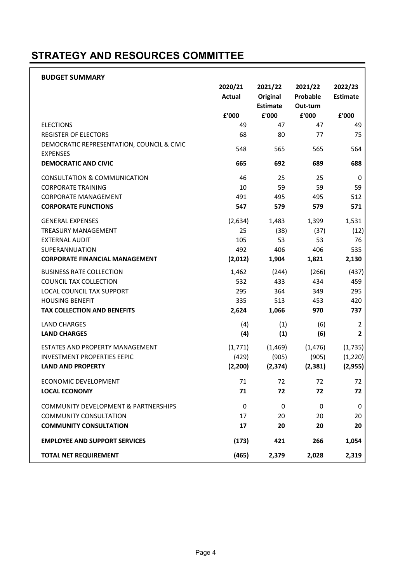### STRATEGY AND RESOURCES COMMITTEE

| <b>BUDGET SUMMARY</b>                                                     |               |                 |          |                 |
|---------------------------------------------------------------------------|---------------|-----------------|----------|-----------------|
|                                                                           | 2020/21       | 2021/22         | 2021/22  | 2022/23         |
|                                                                           | <b>Actual</b> | Original        | Probable | <b>Estimate</b> |
|                                                                           |               | <b>Estimate</b> | Out-turn |                 |
|                                                                           | £'000         | £'000           | £'000    | £'000           |
| <b>ELECTIONS</b>                                                          | 49<br>68      | 47<br>80        | 47<br>77 | 49              |
| <b>REGISTER OF ELECTORS</b><br>DEMOCRATIC REPRESENTATION, COUNCIL & CIVIC |               |                 |          | 75              |
| <b>EXPENSES</b>                                                           | 548           | 565             | 565      | 564             |
| <b>DEMOCRATIC AND CIVIC</b>                                               | 665           | 692             | 689      | 688             |
| CONSULTATION & COMMUNICATION                                              | 46            | 25              | 25       | 0               |
| <b>CORPORATE TRAINING</b>                                                 | 10            | 59              | 59       | 59              |
| <b>CORPORATE MANAGEMENT</b>                                               | 491           | 495             | 495      | 512             |
| <b>CORPORATE FUNCTIONS</b>                                                | 547           | 579             | 579      | 571             |
| <b>GENERAL EXPENSES</b>                                                   | (2,634)       | 1,483           | 1,399    | 1,531           |
| <b>TREASURY MANAGEMENT</b>                                                | 25            | (38)            | (37)     | (12)            |
| <b>EXTERNAL AUDIT</b>                                                     | 105           | 53              | 53       | 76              |
| <b>SUPERANNUATION</b>                                                     | 492           | 406             | 406      | 535             |
| <b>CORPORATE FINANCIAL MANAGEMENT</b>                                     | (2,012)       | 1,904           | 1,821    | 2,130           |
| <b>BUSINESS RATE COLLECTION</b>                                           | 1,462         | (244)           | (266)    | (437)           |
| COUNCIL TAX COLLECTION                                                    | 532           | 433             | 434      | 459             |
| LOCAL COUNCIL TAX SUPPORT                                                 | 295           | 364             | 349      | 295             |
| <b>HOUSING BENEFIT</b>                                                    | 335           | 513             | 453      | 420             |
| <b>TAX COLLECTION AND BENEFITS</b>                                        | 2,624         | 1,066           | 970      | 737             |
| <b>LAND CHARGES</b>                                                       | (4)           | (1)             | (6)      | 2               |
| <b>LAND CHARGES</b>                                                       | (4)           | (1)             | (6)      | $\overline{2}$  |
| ESTATES AND PROPERTY MANAGEMENT                                           | (1, 771)      | (1,469)         | (1, 476) | (1,735)         |
| <b>INVESTMENT PROPERTIES EEPIC</b>                                        | (429)         | (905)           | (905)    | (1, 220)        |
| <b>LAND AND PROPERTY</b>                                                  | (2, 200)      | (2, 374)        | (2, 381) | (2, 955)        |
| ECONOMIC DEVELOPMENT                                                      | 71            | 72              | 72       | 72              |
| <b>LOCAL ECONOMY</b>                                                      | 71            | 72              | 72       | 72              |
| COMMUNITY DEVELOPMENT & PARTNERSHIPS                                      | 0             | 0               | 0        | 0               |
| <b>COMMUNITY CONSULTATION</b>                                             | 17            | 20              | 20       | 20              |
| <b>COMMUNITY CONSULTATION</b>                                             | 17            | 20              | 20       | 20              |
| <b>EMPLOYEE AND SUPPORT SERVICES</b>                                      | (173)         | 421             | 266      | 1,054           |
| <b>TOTAL NET REQUIREMENT</b>                                              | (465)         | 2,379           | 2,028    | 2,319           |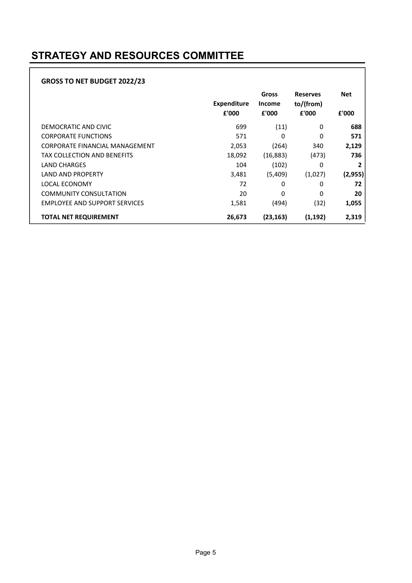### STRATEGY AND RESOURCES COMMITTEE

#### GROSS TO NET BUDGET 2022/23

|                                      | <b>Expenditure</b><br>£'000 | Gross<br><b>Income</b><br>£'000 | <b>Reserves</b><br>to/(from)<br>£'000 | <b>Net</b><br>£'000 |
|--------------------------------------|-----------------------------|---------------------------------|---------------------------------------|---------------------|
| DEMOCRATIC AND CIVIC                 | 699                         | (11)                            | 0                                     | 688                 |
| <b>CORPORATE FUNCTIONS</b>           | 571                         | 0                               | 0                                     | 571                 |
| CORPORATE FINANCIAL MANAGEMENT       | 2,053                       | (264)                           | 340                                   | 2,129               |
| TAX COLLECTION AND BENEFITS          | 18,092                      | (16, 883)                       | (473)                                 | 736                 |
| <b>LAND CHARGES</b>                  | 104                         | (102)                           | 0                                     | 2                   |
| <b>LAND AND PROPERTY</b>             | 3,481                       | (5,409)                         | (1,027)                               | (2, 955)            |
| LOCAL ECONOMY                        | 72                          | 0                               | 0                                     | 72                  |
| <b>COMMUNITY CONSULTATION</b>        | 20                          | $\Omega$                        | $\Omega$                              | 20                  |
| <b>EMPLOYEE AND SUPPORT SERVICES</b> | 1,581                       | (494)                           | (32)                                  | 1,055               |
| <b>TOTAL NET REQUIREMENT</b>         | 26,673                      | (23, 163)                       | (1, 192)                              | 2,319               |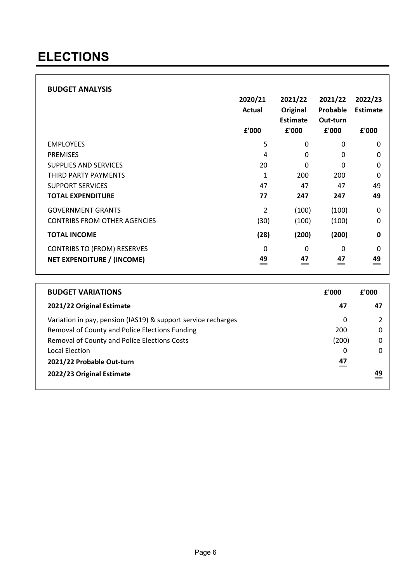### ELECTIONS

|                                     | 2020/21<br>Actual<br>£'000 | 2021/22<br>Original<br><b>Estimate</b><br>£'000 | 2021/22<br>Probable<br>Out-turn<br>£'000 | 2022/23<br><b>Estimate</b><br>£'000 |
|-------------------------------------|----------------------------|-------------------------------------------------|------------------------------------------|-------------------------------------|
| <b>EMPLOYEES</b>                    | 5                          | 0                                               | 0                                        | $\mathbf{0}$                        |
| <b>PREMISES</b>                     | 4                          | $\Omega$                                        | 0                                        | 0                                   |
| <b>SUPPLIES AND SERVICES</b>        | 20                         | $\Omega$                                        | $\Omega$                                 | $\mathbf 0$                         |
| THIRD PARTY PAYMENTS                | 1                          | 200                                             | 200                                      | $\Omega$                            |
| <b>SUPPORT SERVICES</b>             | 47                         | 47                                              | 47                                       | 49                                  |
| <b>TOTAL EXPENDITURE</b>            | 77                         | 247                                             | 247                                      | 49                                  |
| <b>GOVERNMENT GRANTS</b>            | 2                          | (100)                                           | (100)                                    | $\mathbf 0$                         |
| <b>CONTRIBS FROM OTHER AGENCIES</b> | (30)                       | (100)                                           | (100)                                    | 0                                   |
| <b>TOTAL INCOME</b>                 | (28)                       | (200)                                           | (200)                                    | 0                                   |
| <b>CONTRIBS TO (FROM) RESERVES</b>  | $\mathbf{0}$               | 0                                               | 0                                        | $\Omega$                            |
| NET EXPENDITURE / (INCOME)          | 49                         | 47                                              | 47                                       | 49<br>=                             |

| <b>BUDGET VARIATIONS</b>                                      | £'000          | £'000 |
|---------------------------------------------------------------|----------------|-------|
| 2021/22 Original Estimate                                     | 47             | 47    |
| Variation in pay, pension (IAS19) & support service recharges | 0              |       |
| Removal of County and Police Elections Funding                | 200            |       |
| Removal of County and Police Elections Costs                  | (200)          |       |
| Local Election                                                | 0              |       |
| 2021/22 Probable Out-turn                                     | 47<br>$\equiv$ |       |
| 2022/23 Original Estimate                                     |                | 49    |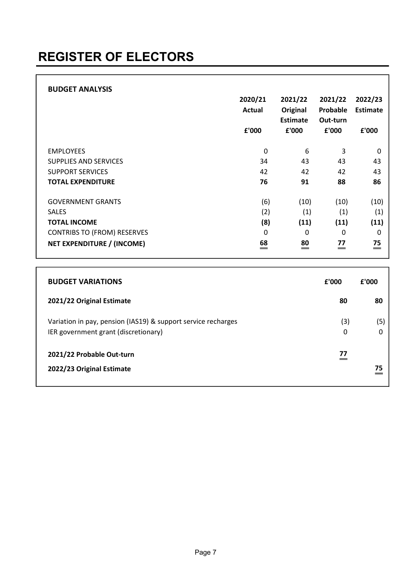|                                    | 2020/21<br>Actual<br>£'000 | 2021/22<br>Original<br>Estimate<br>£'000 | 2021/22<br>Probable<br>Out-turn<br>£'000 | 2022/23<br>Estimate<br>£'000 |
|------------------------------------|----------------------------|------------------------------------------|------------------------------------------|------------------------------|
| <b>EMPLOYEES</b>                   | 0                          | 6                                        | 3                                        | 0                            |
| <b>SUPPLIES AND SERVICES</b>       | 34                         | 43                                       | 43                                       | 43                           |
| <b>SUPPORT SERVICES</b>            | 42                         | 42                                       | 42                                       | 43                           |
| <b>TOTAL EXPENDITURE</b>           | 76                         | 91                                       | 88                                       | 86                           |
| <b>GOVERNMENT GRANTS</b>           | (6)                        | (10)                                     | (10)                                     | (10)                         |
| <b>SALES</b>                       | (2)                        | (1)                                      | (1)                                      | (1)                          |
| <b>TOTAL INCOME</b>                | (8)                        | (11)                                     | (11)                                     | (11)                         |
| <b>CONTRIBS TO (FROM) RESERVES</b> | 0                          | 0                                        | 0                                        | 0                            |
| <b>NET EXPENDITURE / (INCOME)</b>  | 68                         | $\overset{80}{=}$                        | 77                                       | 75<br>$=$                    |

| <b>BUDGET VARIATIONS</b>                                                                              | £'000    | £'000 |
|-------------------------------------------------------------------------------------------------------|----------|-------|
| 2021/22 Original Estimate                                                                             | 80       | 80    |
| Variation in pay, pension (IAS19) & support service recharges<br>IER government grant (discretionary) | (3)<br>0 | (5)   |
| 2021/22 Probable Out-turn<br>2022/23 Original Estimate                                                | 77       | 75    |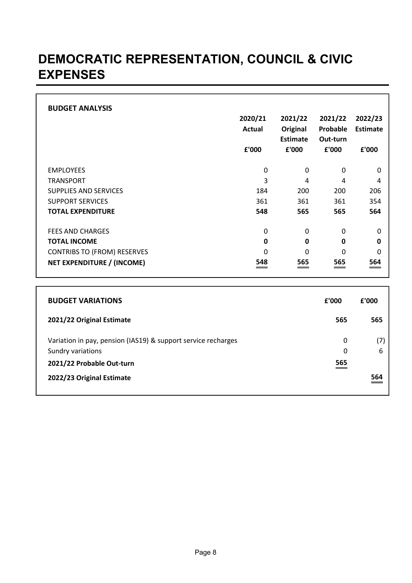### DEMOCRATIC REPRESENTATION, COUNCIL & CIVIC EXPENSES

| <b>BUDGET ANALYSIS</b>             |               |                             |                      |          |
|------------------------------------|---------------|-----------------------------|----------------------|----------|
|                                    | 2020/21       | 2021/22                     | 2021/22              | 2022/23  |
|                                    | <b>Actual</b> | Original<br><b>Estimate</b> | Probable<br>Out-turn | Estimate |
|                                    | £'000         | £'000                       | £'000                | £'000    |
| <b>EMPLOYEES</b>                   | 0             | 0                           | 0                    | 0        |
| <b>TRANSPORT</b>                   | 3             | 4                           | 4                    | 4        |
| <b>SUPPLIES AND SERVICES</b>       | 184           | 200                         | 200                  | 206      |
| <b>SUPPORT SERVICES</b>            | 361           | 361                         | 361                  | 354      |
| <b>TOTAL EXPENDITURE</b>           | 548           | 565                         | 565                  | 564      |
| <b>FEES AND CHARGES</b>            | 0             | 0                           | 0                    | $\Omega$ |
| <b>TOTAL INCOME</b>                | $\mathbf{0}$  | 0                           | $\mathbf 0$          | 0        |
| <b>CONTRIBS TO (FROM) RESERVES</b> | 0             | 0                           | 0                    | 0        |
| NET EXPENDITURE / (INCOME)         | 548           | 565                         | 565                  | 564      |

| <b>BUDGET VARIATIONS</b>                                                           | f'000  | £'000    |
|------------------------------------------------------------------------------------|--------|----------|
| 2021/22 Original Estimate                                                          | 565    | 565      |
| Variation in pay, pension (IAS19) & support service recharges<br>Sundry variations | 0<br>0 | (7)<br>6 |
| 2021/22 Probable Out-turn                                                          | 565    |          |
| 2022/23 Original Estimate                                                          |        | 564      |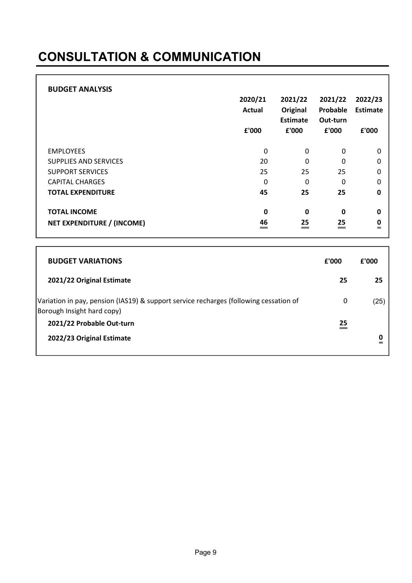## CONSULTATION & COMMUNICATION

| <b>BUDGET ANALYSIS</b> |
|------------------------|
|------------------------|

|                                                          | 2020/21<br><b>Actual</b><br>£'000 | 2021/22<br>Original<br><b>Estimate</b><br>£'000 | 2021/22<br>Probable<br>Out-turn<br>£'000 | 2022/23<br><b>Estimate</b><br>£'000 |
|----------------------------------------------------------|-----------------------------------|-------------------------------------------------|------------------------------------------|-------------------------------------|
| <b>EMPLOYEES</b>                                         | 0                                 | 0                                               | 0                                        | 0                                   |
| <b>SUPPLIES AND SERVICES</b>                             | 20                                | $\mathbf 0$                                     | 0                                        | $\boldsymbol{0}$                    |
| <b>SUPPORT SERVICES</b>                                  | 25                                | 25                                              | 25                                       | 0                                   |
| <b>CAPITAL CHARGES</b>                                   | 0                                 | 0                                               | 0                                        | $\mathbf 0$                         |
| <b>TOTAL EXPENDITURE</b>                                 | 45                                | 25                                              | 25                                       | $\mathbf 0$                         |
| <b>TOTAL INCOME</b><br><b>NET EXPENDITURE / (INCOME)</b> | 0<br>46                           | $\mathbf 0$<br>$\stackrel{25}{=}$               | $\mathbf 0$<br>$\stackrel{25}{=}$        | 0<br>$\mathbf{0}$                   |

| <b>BUDGET VARIATIONS</b>                                                                                            | £'000 | £'000 |
|---------------------------------------------------------------------------------------------------------------------|-------|-------|
| 2021/22 Original Estimate                                                                                           | 25    | 25    |
| Variation in pay, pension (IAS19) & support service recharges (following cessation of<br>Borough Insight hard copy) | 0     | (25)  |
| 2021/22 Probable Out-turn                                                                                           | 25    |       |
| 2022/23 Original Estimate                                                                                           |       |       |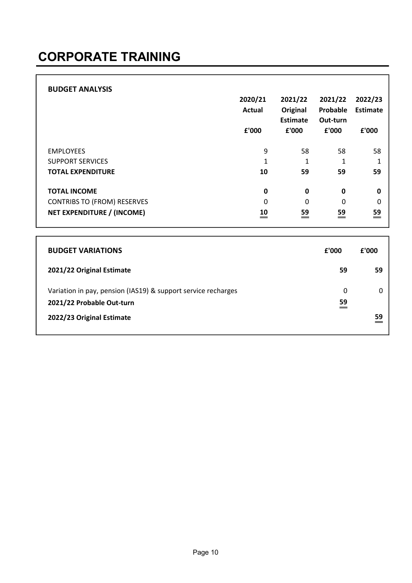| <b>BUDGET ANALYSIS</b>             | 2020/21<br>Actual<br>£'000 | 2021/22<br>Original<br><b>Estimate</b><br>£'000 | 2021/22<br>Probable<br>Out-turn<br>£'000 | 2022/23<br>Estimate<br>£'000 |
|------------------------------------|----------------------------|-------------------------------------------------|------------------------------------------|------------------------------|
| <b>EMPLOYEES</b>                   | 9                          | 58                                              | 58                                       | 58                           |
| <b>SUPPORT SERVICES</b>            | $\mathbf{1}$               | $\mathbf 1$                                     | 1                                        | 1                            |
| <b>TOTAL EXPENDITURE</b>           | 10                         | 59                                              | 59                                       | 59                           |
| <b>TOTAL INCOME</b>                | $\mathbf 0$                | $\mathbf 0$                                     | $\mathbf 0$                              | $\mathbf 0$                  |
| <b>CONTRIBS TO (FROM) RESERVES</b> | $\Omega$                   | $\mathbf 0$                                     | 0                                        | $\mathbf 0$                  |
| NET EXPENDITURE / (INCOME)         | 10                         | 59<br>$=$                                       | 59<br>=                                  | 59<br>$=$                    |
|                                    |                            |                                                 |                                          |                              |

| <b>BUDGET VARIATIONS</b>                                      | f'000 | f'000 |
|---------------------------------------------------------------|-------|-------|
| 2021/22 Original Estimate                                     | 59    | 59    |
| Variation in pay, pension (IAS19) & support service recharges | 0     |       |
| 2021/22 Probable Out-turn                                     | 59    |       |
| 2022/23 Original Estimate                                     |       | 59    |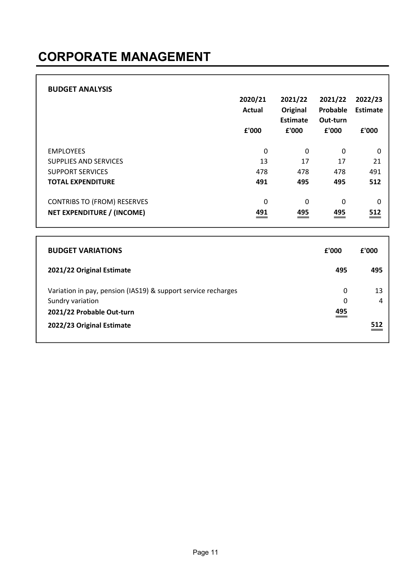## CORPORATE MANAGEMENT

| <b>BUDGET ANALYSIS</b>             | 2020/21<br><b>Actual</b><br>£'000 | 2021/22<br>Original<br>Estimate<br>£'000 | 2021/22<br>Probable<br>Out-turn<br>£'000 | 2022/23<br><b>Estimate</b><br>£'000 |
|------------------------------------|-----------------------------------|------------------------------------------|------------------------------------------|-------------------------------------|
| <b>EMPLOYEES</b>                   | 0                                 | 0                                        | 0                                        | 0                                   |
| <b>SUPPLIES AND SERVICES</b>       | 13                                | 17                                       | 17                                       | 21                                  |
| <b>SUPPORT SERVICES</b>            | 478                               | 478                                      | 478                                      | 491                                 |
| <b>TOTAL EXPENDITURE</b>           | 491                               | 495                                      | 495                                      | 512                                 |
| <b>CONTRIBS TO (FROM) RESERVES</b> | 0                                 | 0                                        | 0                                        | 0                                   |
| NET EXPENDITURE / (INCOME)         | 491                               | 495                                      | 495                                      | 512                                 |

| <b>BUDGET VARIATIONS</b>                                                                                       | f'000         | f'000 |
|----------------------------------------------------------------------------------------------------------------|---------------|-------|
| 2021/22 Original Estimate                                                                                      | 495           | 495   |
| Variation in pay, pension (IAS19) & support service recharges<br>Sundry variation<br>2021/22 Probable Out-turn | 0<br>0<br>495 | 13    |
| 2022/23 Original Estimate                                                                                      |               | 512   |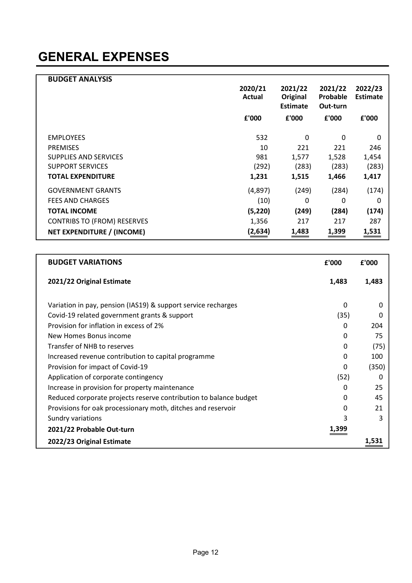| <b>BUDGET ANALYSIS</b>             |                   |                                        |                                 |                            |
|------------------------------------|-------------------|----------------------------------------|---------------------------------|----------------------------|
|                                    | 2020/21<br>Actual | 2021/22<br>Original<br><b>Estimate</b> | 2021/22<br>Probable<br>Out-turn | 2022/23<br><b>Estimate</b> |
|                                    | £'000             | £'000                                  | £'000                           | £'000                      |
|                                    |                   |                                        |                                 |                            |
| <b>EMPLOYEES</b>                   | 532               | 0                                      | 0                               | $\Omega$                   |
| <b>PREMISES</b>                    | 10                | 221                                    | 221                             | 246                        |
| <b>SUPPLIES AND SERVICES</b>       | 981               | 1,577                                  | 1,528                           | 1,454                      |
| <b>SUPPORT SERVICES</b>            | (292)             | (283)                                  | (283)                           | (283)                      |
| <b>TOTAL EXPENDITURE</b>           | 1,231             | 1,515                                  | 1,466                           | 1,417                      |
| <b>GOVERNMENT GRANTS</b>           | (4,897)           | (249)                                  | (284)                           | (174)                      |
| <b>FEES AND CHARGES</b>            | (10)              | 0                                      | 0                               | 0                          |
| <b>TOTAL INCOME</b>                | (5, 220)          | (249)                                  | (284)                           | (174)                      |
| <b>CONTRIBS TO (FROM) RESERVES</b> | 1,356             | 217                                    | 217                             | 287                        |
| NET EXPENDITURE / (INCOME)         | (2,634)           | 1,483                                  | 1,399                           | 1,531                      |

| <b>BUDGET VARIATIONS</b>                                          | £'000    | £'000 |
|-------------------------------------------------------------------|----------|-------|
| 2021/22 Original Estimate                                         | 1,483    | 1,483 |
| Variation in pay, pension (IAS19) & support service recharges     | 0        | 0     |
| Covid-19 related government grants & support                      | (35)     |       |
| Provision for inflation in excess of 2%                           | 0        | 204   |
| New Homes Bonus income                                            | 0        | 75    |
| Transfer of NHB to reserves                                       | $\Omega$ | (75)  |
| Increased revenue contribution to capital programme               | $\Omega$ | 100   |
| Provision for impact of Covid-19                                  | $\Omega$ | (350) |
| Application of corporate contingency                              | (52)     |       |
| Increase in provision for property maintenance                    | $\Omega$ | 25    |
| Reduced corporate projects reserve contribution to balance budget | $\Omega$ | 45    |
| Provisions for oak processionary moth, ditches and reservoir      | 0        | 21    |
| Sundry variations                                                 | 3        | 3     |
| 2021/22 Probable Out-turn                                         | 1,399    |       |
| 2022/23 Original Estimate                                         |          | 1,531 |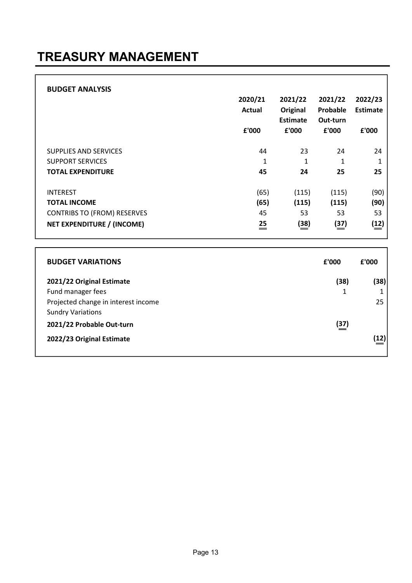## TREASURY MANAGEMENT

| <b>BUDGET ANALYSIS</b>             | 2020/21<br>Actual<br>£'000 | 2021/22<br>Original<br><b>Estimate</b><br>£'000 | 2021/22<br>Probable<br>Out-turn<br>£'000 | 2022/23<br><b>Estimate</b><br>£'000 |
|------------------------------------|----------------------------|-------------------------------------------------|------------------------------------------|-------------------------------------|
| SUPPLIES AND SERVICES              | 44                         | 23                                              | 24                                       | 24                                  |
| <b>SUPPORT SERVICES</b>            | 1                          | 1                                               | 1                                        | 1                                   |
| <b>TOTAL EXPENDITURE</b>           | 45                         | 24                                              | 25                                       | 25                                  |
| <b>INTEREST</b>                    | (65)                       | (115)                                           | (115)                                    | (90)                                |
| <b>TOTAL INCOME</b>                | (65)                       | (115)                                           | (115)                                    | (90)                                |
| <b>CONTRIBS TO (FROM) RESERVES</b> | 45                         | 53                                              | 53                                       | 53                                  |
| <b>NET EXPENDITURE / (INCOME)</b>  | 25<br>=                    | (38)                                            | (37)                                     | (12)                                |
|                                    |                            |                                                 |                                          |                                     |

| <b>BUDGET VARIATIONS</b>            | £'000       | £'000 |
|-------------------------------------|-------------|-------|
| 2021/22 Original Estimate           | (38)        | (38)  |
| Fund manager fees                   |             |       |
| Projected change in interest income |             | 25    |
| <b>Sundry Variations</b>            |             |       |
| 2021/22 Probable Out-turn           | <u>(37)</u> |       |
| 2022/23 Original Estimate           |             | (12)  |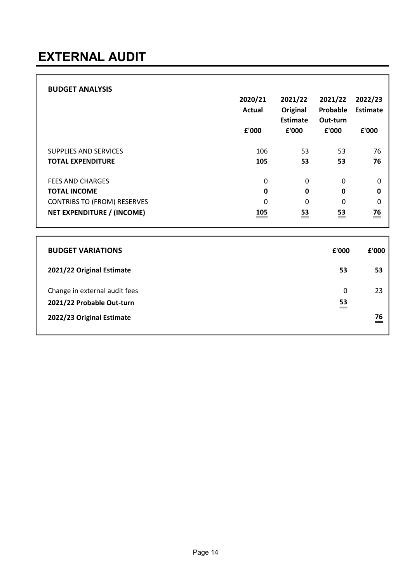| <b>BUDGET ANALYSIS</b>             | 2020/21<br>Actual<br>£'000 | 2021/22<br>Original<br>Estimate<br>£'000 | 2021/22<br>Probable<br>Out-turn<br>£'000 | 2022/23<br>Estimate<br>£'000 |
|------------------------------------|----------------------------|------------------------------------------|------------------------------------------|------------------------------|
| SUPPLIES AND SERVICES              | 106                        | 53                                       | 53                                       | 76                           |
| <b>TOTAL EXPENDITURE</b>           | 105                        | 53                                       | 53                                       | 76                           |
| <b>FEES AND CHARGES</b>            | 0                          | 0                                        | $\Omega$                                 | 0                            |
| <b>TOTAL INCOME</b>                | 0                          | 0                                        | $\mathbf 0$                              | 0                            |
| <b>CONTRIBS TO (FROM) RESERVES</b> | 0                          | 0                                        | 0                                        | 0                            |
| NET EXPENDITURE / (INCOME)         | 105                        | 53<br>$=$                                | 53<br>=                                  | 76<br>$=$                    |

| <b>BUDGET VARIATIONS</b>                                                                | £'000   | £'000    |
|-----------------------------------------------------------------------------------------|---------|----------|
| 2021/22 Original Estimate                                                               | 53      | 53       |
| Change in external audit fees<br>2021/22 Probable Out-turn<br>2022/23 Original Estimate | 0<br>53 | 23<br>76 |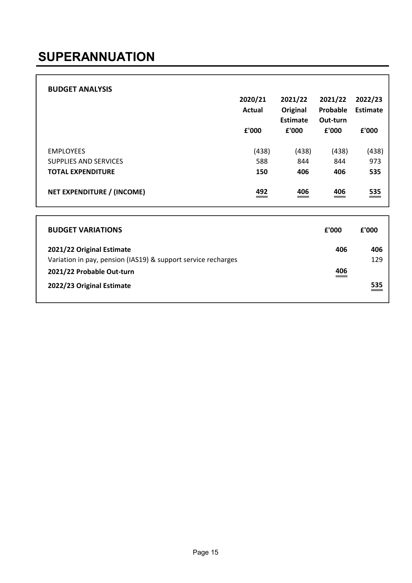| <b>BUDGET ANALYSIS</b>       | 2020/21<br><b>Actual</b><br>£'000 | 2021/22<br>Original<br>Estimate<br>f'000 | 2021/22<br>Probable<br>Out-turn<br>£'000 | 2022/23<br>Estimate<br>£'000 |
|------------------------------|-----------------------------------|------------------------------------------|------------------------------------------|------------------------------|
| <b>EMPLOYEES</b>             | (438)                             | (438)                                    | (438)                                    | (438)                        |
| <b>SUPPLIES AND SERVICES</b> | 588                               | 844                                      | 844                                      | 973                          |
| <b>TOTAL EXPENDITURE</b>     | 150                               | 406                                      | 406                                      | 535                          |
| NET EXPENDITURE / (INCOME)   | 492                               | 406                                      | 406<br>$\hspace{.05cm} =$                | 535<br>___                   |

| <b>BUDGET VARIATIONS</b>                                                                   | £'000      | £'000      |
|--------------------------------------------------------------------------------------------|------------|------------|
| 2021/22 Original Estimate<br>Variation in pay, pension (IAS19) & support service recharges | 406        | 406<br>129 |
| 2021/22 Probable Out-turn                                                                  | 406<br>___ |            |
| 2022/23 Original Estimate                                                                  |            | 535        |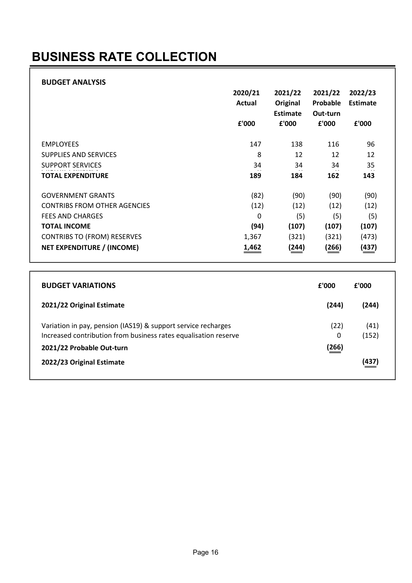## BUSINESS RATE COLLECTION

|                                     | 2020/21<br>Actual | 2021/22<br>Original<br><b>Estimate</b> | 2021/22<br>Probable<br>Out-turn | 2022/23<br>Estimate |
|-------------------------------------|-------------------|----------------------------------------|---------------------------------|---------------------|
|                                     | £'000             | £'000                                  | £'000                           | £'000               |
| <b>EMPLOYEES</b>                    | 147               | 138                                    | 116                             | 96                  |
| <b>SUPPLIES AND SERVICES</b>        | 8                 | 12                                     | 12                              | 12                  |
| <b>SUPPORT SERVICES</b>             | 34                | 34                                     | 34                              | 35                  |
| <b>TOTAL EXPENDITURE</b>            | 189               | 184                                    | 162                             | 143                 |
| <b>GOVERNMENT GRANTS</b>            | (82)              | (90)                                   | (90)                            | (90)                |
| <b>CONTRIBS FROM OTHER AGENCIES</b> | (12)              | (12)                                   | (12)                            | (12)                |
| <b>FEES AND CHARGES</b>             | $\Omega$          | (5)                                    | (5)                             | (5)                 |
| <b>TOTAL INCOME</b>                 | (94)              | (107)                                  | (107)                           | (107)               |
| <b>CONTRIBS TO (FROM) RESERVES</b>  | 1,367             | (321)                                  | (321)                           | (473)               |
| NET EXPENDITURE / (INCOME)          | 1,462             | (244)                                  | (266)                           | (437)               |

| <b>BUDGET VARIATIONS</b>                                                                                                                                      | £'000              | £'000         |
|---------------------------------------------------------------------------------------------------------------------------------------------------------------|--------------------|---------------|
| 2021/22 Original Estimate                                                                                                                                     | (244)              | (244)         |
| Variation in pay, pension (IAS19) & support service recharges<br>Increased contribution from business rates equalisation reserve<br>2021/22 Probable Out-turn | (22)<br>0<br>(266) | (41)<br>(152) |
| 2022/23 Original Estimate                                                                                                                                     |                    | (437)         |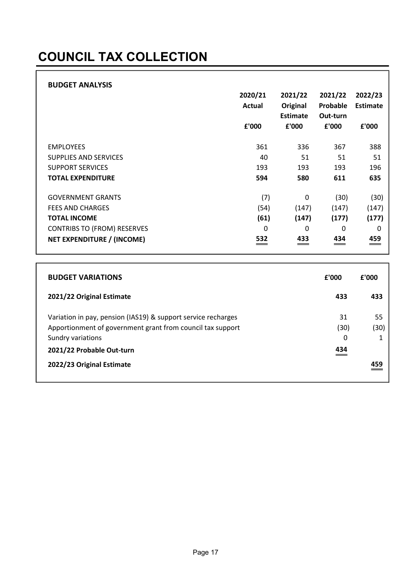## COUNCIL TAX COLLECTION

|                                    | 2020/21<br>Actual<br>£'000 | 2021/22<br>Original<br><b>Estimate</b><br>£'000 | 2021/22<br>Probable<br>Out-turn<br>£'000 | 2022/23<br><b>Estimate</b><br>£'000 |
|------------------------------------|----------------------------|-------------------------------------------------|------------------------------------------|-------------------------------------|
| <b>EMPLOYEES</b>                   | 361                        | 336                                             | 367                                      | 388                                 |
| <b>SUPPLIES AND SERVICES</b>       | 40                         | 51                                              | 51                                       | 51                                  |
| <b>SUPPORT SERVICES</b>            | 193                        | 193                                             | 193                                      | 196                                 |
| <b>TOTAL EXPENDITURE</b>           | 594                        | 580                                             | 611                                      | 635                                 |
| <b>GOVERNMENT GRANTS</b>           | (7)                        | 0                                               | (30)                                     | (30)                                |
| <b>FEES AND CHARGES</b>            | (54)                       | (147)                                           | (147)                                    | (147)                               |
| <b>TOTAL INCOME</b>                | (61)                       | (147)                                           | (177)                                    | (177)                               |
| <b>CONTRIBS TO (FROM) RESERVES</b> | 0                          | 0                                               | 0                                        | 0                                   |
| NET EXPENDITURE / (INCOME)         | 532<br>$\hspace{0.05cm} =$ | 433                                             | 434                                      | 459<br>$\qquad \qquad \qquad =$     |

| <b>BUDGET VARIATIONS</b>                                                                                                                         | f'000                  | f'000      |
|--------------------------------------------------------------------------------------------------------------------------------------------------|------------------------|------------|
| 2021/22 Original Estimate                                                                                                                        | 433                    | 433        |
| Variation in pay, pension (IAS19) & support service recharges<br>Apportionment of government grant from council tax support<br>Sundry variations | 31<br>(30)<br>0<br>434 | 55<br>(30) |
| 2021/22 Probable Out-turn<br>2022/23 Original Estimate                                                                                           |                        | 459        |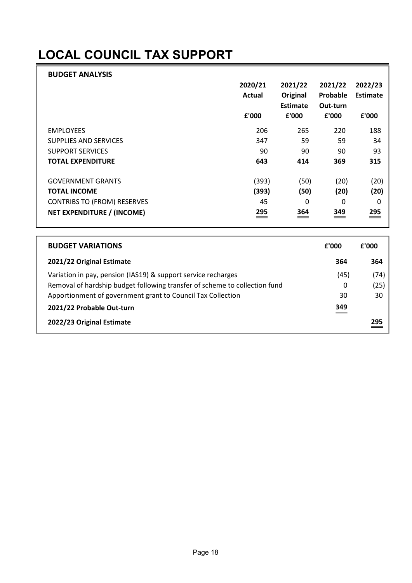## LOCAL COUNCIL TAX SUPPORT

| <b>BUDGET ANALYSIS</b>             |         |          |          |          |
|------------------------------------|---------|----------|----------|----------|
|                                    | 2020/21 | 2021/22  | 2021/22  | 2022/23  |
|                                    | Actual  | Original | Probable | Estimate |
|                                    |         | Estimate | Out-turn |          |
|                                    | £'000   | £'000    | £'000    | £'000    |
| <b>EMPLOYEES</b>                   | 206     | 265      | 220      | 188      |
| <b>SUPPLIES AND SERVICES</b>       | 347     | 59       | 59       | 34       |
| <b>SUPPORT SERVICES</b>            | 90      | 90       | 90       | 93       |
| <b>TOTAL EXPENDITURE</b>           | 643     | 414      | 369      | 315      |
| <b>GOVERNMENT GRANTS</b>           | (393)   | (50)     | (20)     | (20)     |
| <b>TOTAL INCOME</b>                | (393)   | (50)     | (20)     | (20)     |
| <b>CONTRIBS TO (FROM) RESERVES</b> | 45      | 0        | 0        | 0        |
| NET EXPENDITURE / (INCOME)         | 295     | 364      | 349      | 295      |

| <b>BUDGET VARIATIONS</b>                                                   | £'000 | £'000 |
|----------------------------------------------------------------------------|-------|-------|
| 2021/22 Original Estimate                                                  | 364   | 364   |
| Variation in pay, pension (IAS19) & support service recharges              | (45)  | (74)  |
| Removal of hardship budget following transfer of scheme to collection fund | 0     | (25)  |
| Apportionment of government grant to Council Tax Collection                | 30    | 30    |
| 2021/22 Probable Out-turn                                                  | 349   |       |
| 2022/23 Original Estimate                                                  |       | 295   |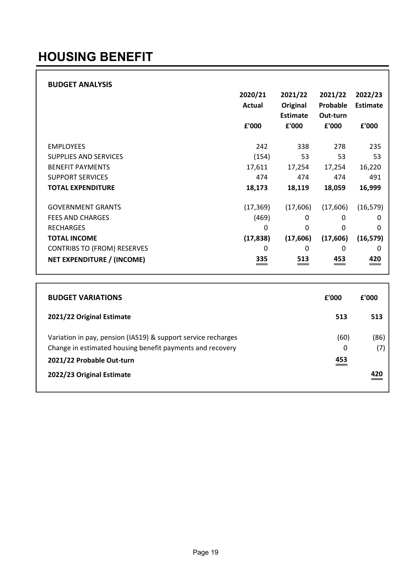## HOUSING BENEFIT

#### BUDGET ANALYSIS 2020/21 2021/22 2021/22 2022/23 Actual Original Probable Estimate Estimate Out-turn £'000 £'000 £'000 £'000 EMPLOYEES 242 338 278 235 SUPPLIES AND SERVICES **154** 53 53 53 53 BENEFIT PAYMENTS 17,611 17,254 17,254 16,220 SUPPORT SERVICES 474 474 474 491 TOTAL EXPENDITURE 18,173 18,119 18,059 16,999 GOVERNMENT GRANTS (17,369) (17,606) (17,606) (16,579) FEES AND CHARGES **EXECUTE AND CHARGES** (469) 0 0 0 0 RECHARGES 0 0 0 0 TOTAL INCOME (17,838) (17,606) (17,606) (16,579) CONTRIBS TO (FROM) RESERVES 0 0 0 0 NET EXPENDITURE / (INCOME) 335 513 453 420

| <b>BUDGET VARIATIONS</b>                                                                                                   | f'000     | £'000       |
|----------------------------------------------------------------------------------------------------------------------------|-----------|-------------|
| 2021/22 Original Estimate                                                                                                  | 513       | 513         |
| Variation in pay, pension (IAS19) & support service recharges<br>Change in estimated housing benefit payments and recovery | (60)<br>0 | (86)<br>(7) |
| 2021/22 Probable Out-turn                                                                                                  | 453       |             |
| 2022/23 Original Estimate                                                                                                  |           | 420         |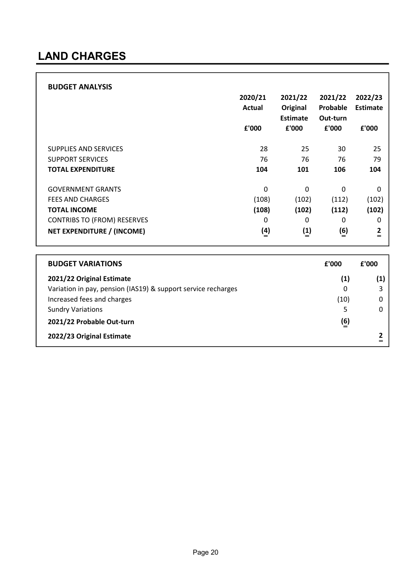### LAND CHARGES

|                                    | 2020/21<br>Actual<br>£'000   | 2021/22<br>Original<br>Estimate<br>£'000 | 2021/22<br>Probable<br>Out-turn<br>£'000 | 2022/23<br>Estimate<br>£'000 |
|------------------------------------|------------------------------|------------------------------------------|------------------------------------------|------------------------------|
| <b>SUPPLIES AND SERVICES</b>       | 28                           | 25                                       | 30                                       | 25                           |
| <b>SUPPORT SERVICES</b>            | 76                           | 76                                       | 76                                       | 79                           |
| <b>TOTAL EXPENDITURE</b>           | 104                          | 101                                      | 106                                      | 104                          |
| <b>GOVERNMENT GRANTS</b>           | 0                            | 0                                        | 0                                        | 0                            |
| <b>FEES AND CHARGES</b>            | (108)                        | (102)                                    | (112)                                    | (102)                        |
| <b>TOTAL INCOME</b>                | (108)                        | (102)                                    | (112)                                    | (102)                        |
| <b>CONTRIBS TO (FROM) RESERVES</b> | 0                            | 0                                        | 0                                        | 0                            |
| <b>NET EXPENDITURE / (INCOME)</b>  | $\left(\underline{4}\right)$ | (1)                                      | (6)                                      | $\frac{2}{1}$                |

| <b>BUDGET VARIATIONS</b>                                      | £'000            | f'000 |
|---------------------------------------------------------------|------------------|-------|
| 2021/22 Original Estimate                                     | (1)              | (1)   |
| Variation in pay, pension (IAS19) & support service recharges | 0                |       |
| Increased fees and charges                                    | (10)             |       |
| <b>Sundry Variations</b>                                      | 5                |       |
| 2021/22 Probable Out-turn                                     | $\overline{(6)}$ |       |
| 2022/23 Original Estimate                                     |                  |       |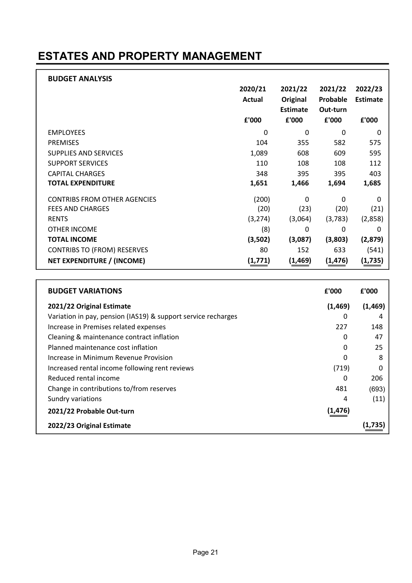### ESTATES AND PROPERTY MANAGEMENT

| <b>BUDGET ANALYSIS</b>              |          |                 |          |                 |
|-------------------------------------|----------|-----------------|----------|-----------------|
|                                     | 2020/21  | 2021/22         | 2021/22  | 2022/23         |
|                                     | Actual   | Original        | Probable | <b>Estimate</b> |
|                                     |          | <b>Estimate</b> | Out-turn |                 |
|                                     | £'000    | £'000           | £'000    | £'000           |
| <b>EMPLOYEES</b>                    | 0        | 0               | 0        | 0               |
| <b>PREMISES</b>                     | 104      | 355             | 582      | 575             |
| <b>SUPPLIES AND SERVICES</b>        | 1,089    | 608             | 609      | 595             |
| <b>SUPPORT SERVICES</b>             | 110      | 108             | 108      | 112             |
| <b>CAPITAL CHARGES</b>              | 348      | 395             | 395      | 403             |
| <b>TOTAL EXPENDITURE</b>            | 1,651    | 1,466           | 1,694    | 1,685           |
| <b>CONTRIBS FROM OTHER AGENCIES</b> | (200)    | 0               | 0        | $\Omega$        |
| <b>FEES AND CHARGES</b>             | (20)     | (23)            | (20)     | (21)            |
| <b>RENTS</b>                        | (3, 274) | (3,064)         | (3,783)  | (2,858)         |
| OTHER INCOME                        | (8)      | 0               | 0        | 0               |
| <b>TOTAL INCOME</b>                 | (3,502)  | (3,087)         | (3,803)  | (2,879)         |
| <b>CONTRIBS TO (FROM) RESERVES</b>  | 80       | 152             | 633      | (541)           |
| <b>NET EXPENDITURE / (INCOME)</b>   | (1, 771) | (1,469)         | (1,476)  | (1,735)         |

| <b>BUDGET VARIATIONS</b>                                      | £'000    | £'000    |
|---------------------------------------------------------------|----------|----------|
| 2021/22 Original Estimate                                     | (1, 469) | (1, 469) |
| Variation in pay, pension (IAS19) & support service recharges | 0        |          |
| Increase in Premises related expenses                         | 227      | 148      |
| Cleaning & maintenance contract inflation                     | 0        | 47       |
| Planned maintenance cost inflation                            | $\Omega$ | 25       |
| Increase in Minimum Revenue Provision                         | 0        | 8        |
| Increased rental income following rent reviews                | (719)    | O        |
| Reduced rental income                                         | 0        | 206      |
| Change in contributions to/from reserves                      | 481      | (693)    |
| Sundry variations                                             | 4        | (11)     |
| 2021/22 Probable Out-turn                                     | (1, 476) |          |
| 2022/23 Original Estimate                                     |          |          |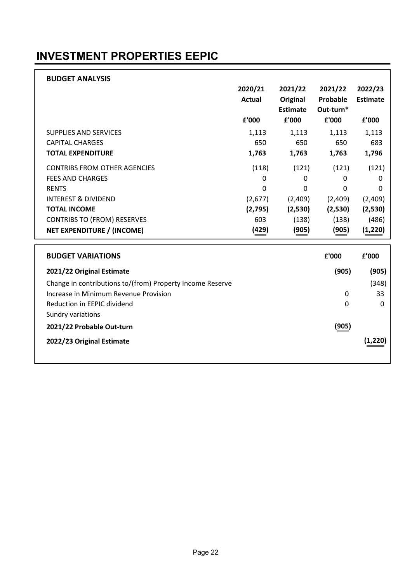### INVESTMENT PROPERTIES EEPIC

| <b>BUDGET ANALYSIS</b>                                    |               |                 |           |                 |
|-----------------------------------------------------------|---------------|-----------------|-----------|-----------------|
|                                                           | 2020/21       | 2021/22         | 2021/22   | 2022/23         |
|                                                           | <b>Actual</b> | Original        | Probable  | <b>Estimate</b> |
|                                                           |               | <b>Estimate</b> | Out-turn* |                 |
|                                                           | £'000         | £'000           | £'000     | £'000           |
| <b>SUPPLIES AND SERVICES</b>                              | 1,113         | 1,113           | 1,113     | 1,113           |
| <b>CAPITAL CHARGES</b>                                    | 650           | 650             | 650       | 683             |
| <b>TOTAL EXPENDITURE</b>                                  | 1,763         | 1,763           | 1,763     | 1,796           |
| <b>CONTRIBS FROM OTHER AGENCIES</b>                       | (118)         | (121)           | (121)     | (121)           |
| <b>FEES AND CHARGES</b>                                   | 0             | 0               | 0         | $\mathbf{0}$    |
| <b>RENTS</b>                                              | $\mathbf 0$   | 0               | 0         | $\Omega$        |
| <b>INTEREST &amp; DIVIDEND</b>                            | (2,677)       | (2,409)         | (2,409)   | (2,409)         |
| <b>TOTAL INCOME</b>                                       | (2,795)       | (2,530)         | (2,530)   | (2,530)         |
| <b>CONTRIBS TO (FROM) RESERVES</b>                        | 603           | (138)           | (138)     | (486)           |
| <b>NET EXPENDITURE / (INCOME)</b>                         | (429)         | (905)           | (905)     | (1, 220)        |
|                                                           |               |                 |           |                 |
| <b>BUDGET VARIATIONS</b>                                  |               |                 | £'000     | £'000           |
| 2021/22 Original Estimate                                 |               |                 | (905)     | (905)           |
| Change in contributions to/(from) Property Income Reserve |               |                 |           | (348)           |
| Increase in Minimum Revenue Provision                     |               |                 | 0         | 33              |
| Reduction in EEPIC dividend                               |               |                 | 0         | 0               |
| Sundry variations                                         |               |                 |           |                 |
| 2021/22 Probable Out-turn                                 |               |                 | (905)     |                 |
| 2022/23 Original Estimate                                 |               |                 |           | (1, 220)        |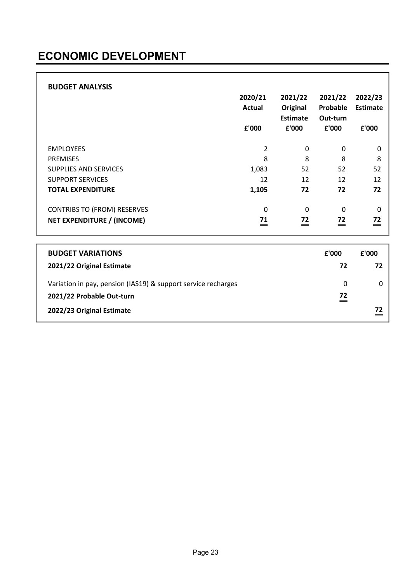### ECONOMIC DEVELOPMENT

| <b>BUDGET ANALYSIS</b> |
|------------------------|
|------------------------|

|                                    | 2020/21<br>Actual<br>£'000 | 2021/22<br>Original<br><b>Estimate</b><br>£'000 | 2021/22<br>Probable<br>Out-turn<br>£'000 | 2022/23<br>Estimate<br>£'000 |
|------------------------------------|----------------------------|-------------------------------------------------|------------------------------------------|------------------------------|
| <b>EMPLOYEES</b>                   | 2                          | 0                                               | 0                                        | 0                            |
| <b>PREMISES</b>                    | 8                          | 8                                               | 8                                        | 8                            |
| SUPPLIES AND SERVICES              | 1,083                      | 52                                              | 52                                       | 52                           |
| <b>SUPPORT SERVICES</b>            | 12                         | 12                                              | 12                                       | 12                           |
| <b>TOTAL EXPENDITURE</b>           | 1,105                      | 72                                              | 72                                       | 72                           |
| <b>CONTRIBS TO (FROM) RESERVES</b> | 0                          | 0                                               | 0                                        | 0                            |
| NET EXPENDITURE / (INCOME)         | 71                         | 72                                              | 72                                       | 72<br>$=$                    |

| <b>BUDGET VARIATIONS</b>                                      | £'000 | £'000 |
|---------------------------------------------------------------|-------|-------|
| 2021/22 Original Estimate                                     | 72    | 72    |
| Variation in pay, pension (IAS19) & support service recharges | 0     |       |
| 2021/22 Probable Out-turn                                     | 72    |       |
| 2022/23 Original Estimate                                     |       |       |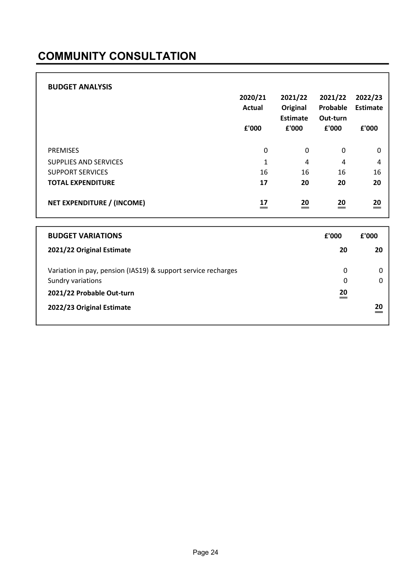### COMMUNITY CONSULTATION

| <b>BUDGET ANALYSIS</b>       | 2020/21<br><b>Actual</b><br>£'000 | 2021/22<br>Original<br>Estimate<br>£'000 | 2021/22<br>Probable<br>Out-turn<br>£'000 | 2022/23<br><b>Estimate</b><br>£'000 |
|------------------------------|-----------------------------------|------------------------------------------|------------------------------------------|-------------------------------------|
| <b>PREMISES</b>              | 0                                 | 0                                        | 0                                        | 0                                   |
| <b>SUPPLIES AND SERVICES</b> | 1                                 | 4                                        | 4                                        | 4                                   |
| <b>SUPPORT SERVICES</b>      | 16                                | 16                                       | 16                                       | 16                                  |
| <b>TOTAL EXPENDITURE</b>     | 17                                | 20                                       | 20                                       | 20                                  |
| NET EXPENDITURE / (INCOME)   | 17                                | 20                                       | 20<br>=                                  | 20<br>$=$                           |

| <b>BUDGET VARIATIONS</b>                                      | f'000 | f'000 |
|---------------------------------------------------------------|-------|-------|
| 2021/22 Original Estimate                                     | 20    | 20    |
| Variation in pay, pension (IAS19) & support service recharges | 0     |       |
| Sundry variations                                             | 0     |       |
| 2021/22 Probable Out-turn                                     | 20    |       |
| 2022/23 Original Estimate                                     |       | 20    |
|                                                               |       |       |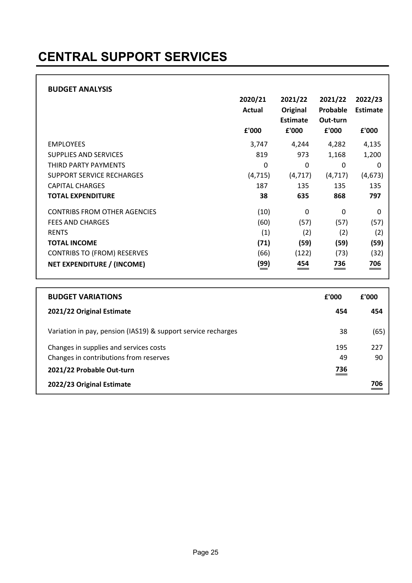## CENTRAL SUPPORT SERVICES

|                                     | 2020/21<br>Actual | 2021/22<br>Original<br><b>Estimate</b> | 2021/22<br>Probable<br>Out-turn | 2022/23<br><b>Estimate</b> |
|-------------------------------------|-------------------|----------------------------------------|---------------------------------|----------------------------|
|                                     | £'000             | £'000                                  | £'000                           | £'000                      |
| <b>EMPLOYEES</b>                    | 3,747             | 4,244                                  | 4,282                           | 4,135                      |
| <b>SUPPLIES AND SERVICES</b>        | 819               | 973                                    | 1,168                           | 1,200                      |
| THIRD PARTY PAYMENTS                | 0                 | 0                                      | 0                               | 0                          |
| <b>SUPPORT SERVICE RECHARGES</b>    | (4, 715)          | (4, 717)                               | (4, 717)                        | (4,673)                    |
| <b>CAPITAL CHARGES</b>              | 187               | 135                                    | 135                             | 135                        |
| <b>TOTAL EXPENDITURE</b>            | 38                | 635                                    | 868                             | 797                        |
| <b>CONTRIBS FROM OTHER AGENCIES</b> | (10)              | 0                                      | 0                               | 0                          |
| <b>FEES AND CHARGES</b>             | (60)              | (57)                                   | (57)                            | (57)                       |
| <b>RENTS</b>                        | (1)               | (2)                                    | (2)                             | (2)                        |
| <b>TOTAL INCOME</b>                 | (71)              | (59)                                   | (59)                            | (59)                       |
| <b>CONTRIBS TO (FROM) RESERVES</b>  | (66)              | (122)                                  | (73)                            | (32)                       |
| NET EXPENDITURE / (INCOME)          | (99)              | 454                                    | 736<br>==                       | 706<br>==                  |

| <b>BUDGET VARIATIONS</b>                                      | £'000 | £'000 |
|---------------------------------------------------------------|-------|-------|
| 2021/22 Original Estimate                                     | 454   | 454   |
| Variation in pay, pension (IAS19) & support service recharges | 38    | (65)  |
| Changes in supplies and services costs                        | 195   | 227   |
| Changes in contributions from reserves                        | 49    | 90    |
| 2021/22 Probable Out-turn                                     | 736   |       |
| 2022/23 Original Estimate                                     |       | 706   |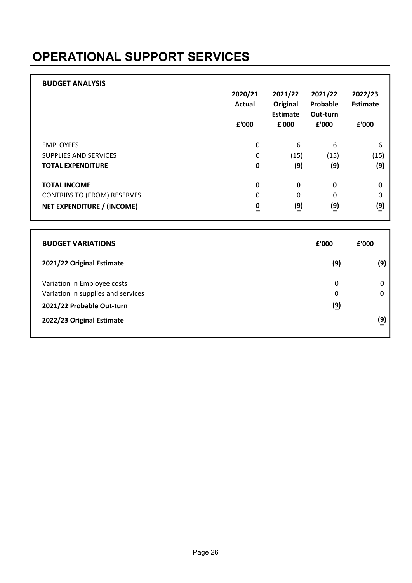## OPERATIONAL SUPPORT SERVICES

| <b>BUDGET ANALYSIS</b>             | 2020/21<br>Actual<br>£'000 | 2021/22<br>Original<br><b>Estimate</b><br>£'000 | 2021/22<br>Probable<br>Out-turn<br>£'000 | 2022/23<br>Estimate<br>£'000 |
|------------------------------------|----------------------------|-------------------------------------------------|------------------------------------------|------------------------------|
| <b>EMPLOYEES</b>                   | 0                          | 6                                               | 6                                        | 6                            |
| SUPPLIES AND SERVICES              | 0                          | (15)                                            | (15)                                     | (15)                         |
| <b>TOTAL EXPENDITURE</b>           | $\bf{0}$                   | (9)                                             | (9)                                      | (9)                          |
| <b>TOTAL INCOME</b>                | $\mathbf 0$                | $\mathbf{0}$                                    | $\mathbf 0$                              | $\mathbf 0$                  |
| <b>CONTRIBS TO (FROM) RESERVES</b> | 0                          | 0                                               | 0                                        | 0                            |
| <b>NET EXPENDITURE / (INCOME)</b>  | $\frac{0}{x}$              | $\binom{9}{5}$                                  | $\binom{9}{5}$                           | $\binom{9}{5}$               |

| <b>BUDGET VARIATIONS</b>                                                                       | £'000                                  | f'000 |
|------------------------------------------------------------------------------------------------|----------------------------------------|-------|
| 2021/22 Original Estimate                                                                      | (9)                                    | (9)   |
| Variation in Employee costs<br>Variation in supplies and services<br>2021/22 Probable Out-turn | 0<br>0<br>$\left(\underline{9}\right)$ | 0     |
| 2022/23 Original Estimate                                                                      |                                        | (9)   |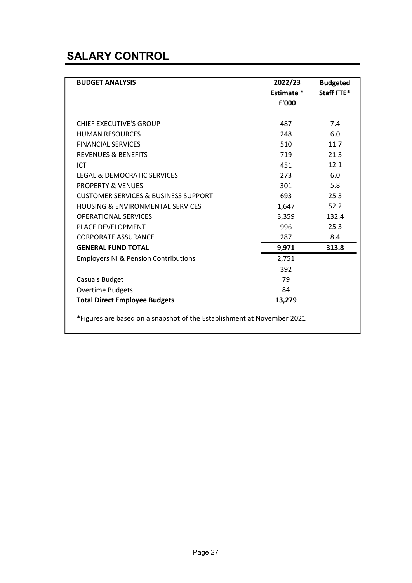### SALARY CONTROL

| <b>BUDGET ANALYSIS</b>                                                                         | 2022/23<br>Estimate *<br>£'000 | <b>Budgeted</b><br>Staff FTE* |  |  |
|------------------------------------------------------------------------------------------------|--------------------------------|-------------------------------|--|--|
| CHIEF EXECUTIVE'S GROUP<br><b>HUMAN RESOURCES</b>                                              | 487<br>248                     | 7.4<br>6.0                    |  |  |
| <b>FINANCIAL SERVICES</b><br><b>REVENUES &amp; BENEFITS</b><br>ICT                             | 510<br>719<br>451              | 11.7<br>21.3<br>12.1          |  |  |
| <b>LEGAL &amp; DEMOCRATIC SERVICES</b><br><b>PROPERTY &amp; VENUES</b>                         | 273<br>301                     | 6.0<br>5.8                    |  |  |
| <b>CUSTOMER SERVICES &amp; BUSINESS SUPPORT</b><br><b>HOUSING &amp; ENVIRONMENTAL SERVICES</b> | 693<br>1,647                   | 25.3<br>52.2                  |  |  |
| <b>OPERATIONAL SERVICES</b><br>PLACE DEVELOPMENT<br><b>CORPORATE ASSURANCE</b>                 | 3,359<br>996<br>287            | 132.4<br>25.3<br>8.4          |  |  |
| <b>GENERAL FUND TOTAL</b>                                                                      | 9,971                          | 313.8                         |  |  |
| <b>Employers NI &amp; Pension Contributions</b>                                                | 2,751<br>392                   |                               |  |  |
| <b>Casuals Budget</b><br><b>Overtime Budgets</b>                                               | 79<br>84                       |                               |  |  |
| <b>Total Direct Employee Budgets</b>                                                           | 13,279                         |                               |  |  |
| *Figures are based on a snapshot of the Establishment at November 2021                         |                                |                               |  |  |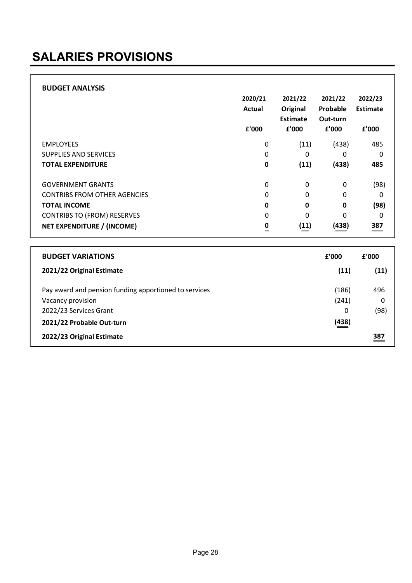## SALARIES PROVISIONS

| <b>BUDGET ANALYSIS</b>              |          |          |             |                 |
|-------------------------------------|----------|----------|-------------|-----------------|
|                                     | 2020/21  | 2021/22  | 2021/22     | 2022/23         |
|                                     | Actual   | Original | Probable    | <b>Estimate</b> |
|                                     |          | Estimate | Out-turn    |                 |
|                                     | £'000    | £'000    | £'000       | £'000           |
| <b>EMPLOYEES</b>                    | 0        | (11)     | (438)       | 485             |
| SUPPLIES AND SERVICES               | 0        | 0        | 0           | $\Omega$        |
| <b>TOTAL EXPENDITURE</b>            | 0        | (11)     | (438)       | 485             |
| <b>GOVERNMENT GRANTS</b>            | 0        | 0        | 0           | (98)            |
| <b>CONTRIBS FROM OTHER AGENCIES</b> | 0        | $\Omega$ | 0           | 0               |
| <b>TOTAL INCOME</b>                 | 0        | 0        | $\mathbf 0$ | (98)            |
| <b>CONTRIBS TO (FROM) RESERVES</b>  | 0        | $\Omega$ | 0           | $\Omega$        |
| NET EXPENDITURE / (INCOME)          | 0<br>$=$ | (11)     | (438)       | 387             |

| <b>BUDGET VARIATIONS</b>                              | £'000 | £'000 |
|-------------------------------------------------------|-------|-------|
| 2021/22 Original Estimate                             | (11)  | (11)  |
| Pay award and pension funding apportioned to services | (186) | 496   |
| Vacancy provision                                     | (241) | 0     |
| 2022/23 Services Grant                                | 0     | (98)  |
| 2021/22 Probable Out-turn                             | (438) |       |
| 2022/23 Original Estimate                             |       | 387   |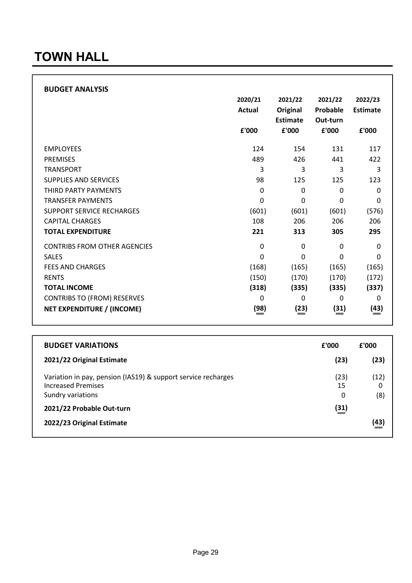### TOWN HALL

| <b>BUDGET ANALYSIS</b>              |               |             |          |             |
|-------------------------------------|---------------|-------------|----------|-------------|
|                                     | 2020/21       | 2021/22     | 2021/22  | 2022/23     |
|                                     | <b>Actual</b> | Original    | Probable | Estimate    |
|                                     |               | Estimate    | Out-turn |             |
|                                     | £'000         | £'000       | £'000    | £'000       |
| <b>EMPLOYEES</b>                    | 124           | 154         | 131      | 117         |
| <b>PREMISES</b>                     | 489           | 426         | 441      | 422         |
| <b>TRANSPORT</b>                    | 3             | 3           | 3        | 3           |
| <b>SUPPLIES AND SERVICES</b>        | 98            | 125         | 125      | 123         |
| THIRD PARTY PAYMENTS                | 0             | $\mathbf 0$ | 0        | $\Omega$    |
| <b>TRANSFER PAYMENTS</b>            | 0             | 0           | 0        | 0           |
| <b>SUPPORT SERVICE RECHARGES</b>    | (601)         | (601)       | (601)    | (576)       |
| <b>CAPITAL CHARGES</b>              | 108           | 206         | 206      | 206         |
| <b>TOTAL EXPENDITURE</b>            | 221           | 313         | 305      | 295         |
| <b>CONTRIBS FROM OTHER AGENCIES</b> | $\mathbf 0$   | 0           | 0        | 0           |
| <b>SALES</b>                        | 0             | $\Omega$    | 0        | $\Omega$    |
| <b>FEES AND CHARGES</b>             | (168)         | (165)       | (165)    | (165)       |
| <b>RENTS</b>                        | (150)         | (170)       | (170)    | (172)       |
| <b>TOTAL INCOME</b>                 | (318)         | (335)       | (335)    | (337)       |
| <b>CONTRIBS TO (FROM) RESERVES</b>  | 0             | 0           | 0        | 0           |
| <b>NET EXPENDITURE / (INCOME)</b>   | (98)          | (23)        | (31)     | <u>(43)</u> |

| <b>BUDGET VARIATIONS</b>                                                                                        | £'000                       | £'000            |
|-----------------------------------------------------------------------------------------------------------------|-----------------------------|------------------|
| 2021/22 Original Estimate                                                                                       | (23)                        | (23)             |
| Variation in pay, pension (IAS19) & support service recharges<br><b>Increased Premises</b><br>Sundry variations | (23)<br>15<br>0             | (12)<br>0<br>(8) |
| 2021/22 Probable Out-turn                                                                                       | $\left(\frac{31}{2}\right)$ |                  |
| 2022/23 Original Estimate                                                                                       |                             | (43)             |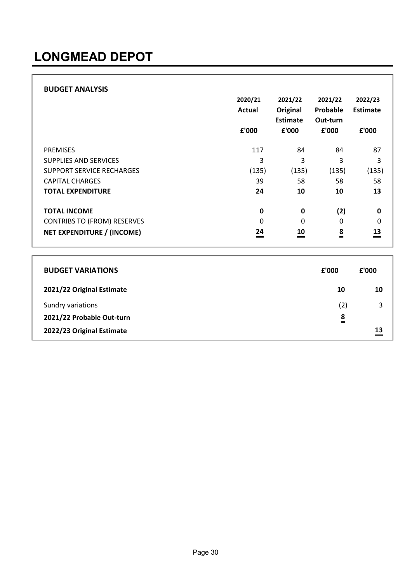## LONGMEAD DEPOT

| <b>BUDGET ANALYSIS</b>             |         |                 |               |          |
|------------------------------------|---------|-----------------|---------------|----------|
|                                    | 2020/21 | 2021/22         | 2021/22       | 2022/23  |
|                                    | Actual  | Original        | Probable      | Estimate |
|                                    |         | <b>Estimate</b> | Out-turn      |          |
|                                    | £'000   | £'000           | £'000         | £'000    |
| <b>PREMISES</b>                    | 117     | 84              | 84            | 87       |
| <b>SUPPLIES AND SERVICES</b>       | 3       | 3               | 3             | 3        |
| SUPPORT SERVICE RECHARGES          | (135)   | (135)           | (135)         | (135)    |
| <b>CAPITAL CHARGES</b>             | 39      | 58              | 58            | 58       |
| <b>TOTAL EXPENDITURE</b>           | 24      | 10              | 10            | 13       |
| <b>TOTAL INCOME</b>                | 0       | 0               | (2)           | 0        |
| <b>CONTRIBS TO (FROM) RESERVES</b> | 0       | $\Omega$        | 0             | 0        |
| <b>NET EXPENDITURE / (INCOME)</b>  | 24<br>= | 10              | $\frac{8}{1}$ | 13       |

| <b>BUDGET VARIATIONS</b>  | £'000    | £'000 |
|---------------------------|----------|-------|
| 2021/22 Original Estimate | 10       | 10    |
| Sundry variations         | (2)      | 3     |
| 2021/22 Probable Out-turn | 8<br>$=$ |       |
| 2022/23 Original Estimate |          | 13    |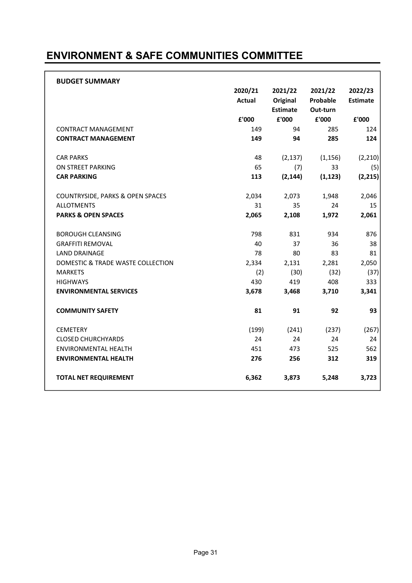### ENVIRONMENT & SAFE COMMUNITIES COMMITTEE

| <b>BUDGET SUMMARY</b>             |               |                 |          |                 |
|-----------------------------------|---------------|-----------------|----------|-----------------|
|                                   | 2020/21       | 2021/22         | 2021/22  | 2022/23         |
|                                   | <b>Actual</b> | Original        | Probable | <b>Estimate</b> |
|                                   |               | <b>Estimate</b> | Out-turn |                 |
|                                   | £'000         | £'000           | £'000    | £'000           |
| <b>CONTRACT MANAGEMENT</b>        | 149           | 94              | 285      | 124             |
| <b>CONTRACT MANAGEMENT</b>        | 149           | 94              | 285      | 124             |
| <b>CAR PARKS</b>                  | 48            | (2, 137)        | (1, 156) | (2, 210)        |
| ON STREET PARKING                 | 65            | (7)             | 33       | (5)             |
| <b>CAR PARKING</b>                | 113           | (2, 144)        | (1, 123) | (2, 215)        |
| COUNTRYSIDE, PARKS & OPEN SPACES  | 2,034         | 2,073           | 1,948    | 2,046           |
| <b>ALLOTMENTS</b>                 | 31            | 35              | 24       | 15              |
| <b>PARKS &amp; OPEN SPACES</b>    | 2,065         | 2,108           | 1,972    | 2,061           |
| <b>BOROUGH CLEANSING</b>          | 798           | 831             | 934      | 876             |
| <b>GRAFFITI REMOVAL</b>           | 40            | 37              | 36       | 38              |
| <b>LAND DRAINAGE</b>              | 78            | 80              | 83       | 81              |
| DOMESTIC & TRADE WASTE COLLECTION | 2,334         | 2,131           | 2,281    | 2,050           |
| <b>MARKETS</b>                    | (2)           | (30)            | (32)     | (37)            |
| <b>HIGHWAYS</b>                   | 430           | 419             | 408      | 333             |
| <b>ENVIRONMENTAL SERVICES</b>     | 3,678         | 3,468           | 3,710    | 3,341           |
| <b>COMMUNITY SAFETY</b>           | 81            | 91              | 92       | 93              |
| <b>CEMETERY</b>                   | (199)         | (241)           | (237)    | (267)           |
| <b>CLOSED CHURCHYARDS</b>         | 24            | 24              | 24       | 24              |
| ENVIRONMENTAL HEALTH              | 451           | 473             | 525      | 562             |
| <b>ENVIRONMENTAL HEALTH</b>       | 276           | 256             | 312      | 319             |
| <b>TOTAL NET REQUIREMENT</b>      | 6,362         | 3,873           | 5,248    | 3,723           |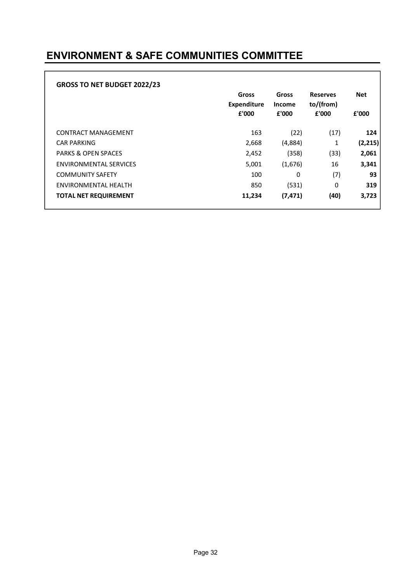### ENVIRONMENT & SAFE COMMUNITIES COMMITTEE

| <b>GROSS TO NET BUDGET 2022/23</b> | Gross<br><b>Expenditure</b><br>£'000 | Gross<br><b>Income</b><br>£'000 | <b>Reserves</b><br>to/(from)<br>£'000 | <b>Net</b><br>£'000 |
|------------------------------------|--------------------------------------|---------------------------------|---------------------------------------|---------------------|
| CONTRACT MANAGEMENT                | 163                                  | (22)                            | (17)                                  | 124                 |
| <b>CAR PARKING</b>                 | 2,668                                | (4,884)                         | 1                                     | (2, 215)            |
| <b>PARKS &amp; OPEN SPACES</b>     | 2,452                                | (358)                           | (33)                                  | 2,061               |
| <b>ENVIRONMENTAL SERVICES</b>      | 5,001                                | (1,676)                         | 16                                    | 3,341               |
| <b>COMMUNITY SAFETY</b>            | 100                                  | 0                               | (7)                                   | 93                  |
| ENVIRONMENTAL HEALTH               | 850                                  | (531)                           | 0                                     | 319                 |
| <b>TOTAL NET REQUIREMENT</b>       | 11,234                               | (7, 471)                        | (40)                                  | 3,723               |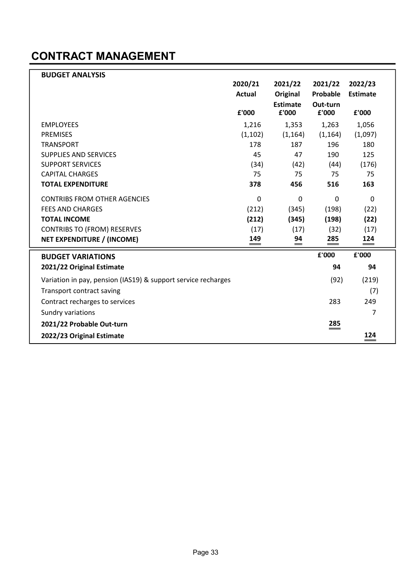### CONTRACT MANAGEMENT

| <b>BUDGET ANALYSIS</b>                                        |               |                   |             |                 |
|---------------------------------------------------------------|---------------|-------------------|-------------|-----------------|
|                                                               | 2020/21       | 2021/22           | 2021/22     | 2022/23         |
|                                                               | <b>Actual</b> | Original          | Probable    | <b>Estimate</b> |
|                                                               |               | Estimate          | Out-turn    |                 |
|                                                               | £'000         | £'000             | £'000       | £'000           |
| <b>EMPLOYEES</b>                                              | 1,216         | 1,353             | 1,263       | 1,056           |
| <b>PREMISES</b>                                               | (1, 102)      | (1, 164)          | (1, 164)    | (1,097)         |
| <b>TRANSPORT</b>                                              | 178           | 187               | 196         | 180             |
| <b>SUPPLIES AND SERVICES</b>                                  | 45            | 47                | 190         | 125             |
| <b>SUPPORT SERVICES</b>                                       | (34)          | (42)              | (44)        | (176)           |
| <b>CAPITAL CHARGES</b>                                        | 75            | 75                | 75          | 75              |
| <b>TOTAL EXPENDITURE</b>                                      | 378           | 456               | 516         | 163             |
| <b>CONTRIBS FROM OTHER AGENCIES</b>                           | $\mathbf 0$   | $\Omega$          | $\mathbf 0$ | 0               |
| <b>FEES AND CHARGES</b>                                       | (212)         | (345)             | (198)       | (22)            |
| <b>TOTAL INCOME</b>                                           | (212)         | (345)             | (198)       | (22)            |
| <b>CONTRIBS TO (FROM) RESERVES</b>                            | (17)          | (17)              | (32)        | (17)            |
| NET EXPENDITURE / (INCOME)                                    | 149           | $\overset{94}{=}$ | 285         | $\frac{124}{ }$ |
| <b>BUDGET VARIATIONS</b>                                      |               |                   | £'000       | £'000           |
| 2021/22 Original Estimate                                     |               |                   | 94          | 94              |
| Variation in pay, pension (IAS19) & support service recharges |               |                   | (92)        | (219)           |
| Transport contract saving                                     |               |                   |             | (7)             |
| Contract recharges to services                                |               |                   | 283         | 249             |
| Sundry variations                                             |               |                   |             | 7               |
| 2021/22 Probable Out-turn                                     |               |                   | 285         |                 |
| 2022/23 Original Estimate                                     |               |                   |             | 124             |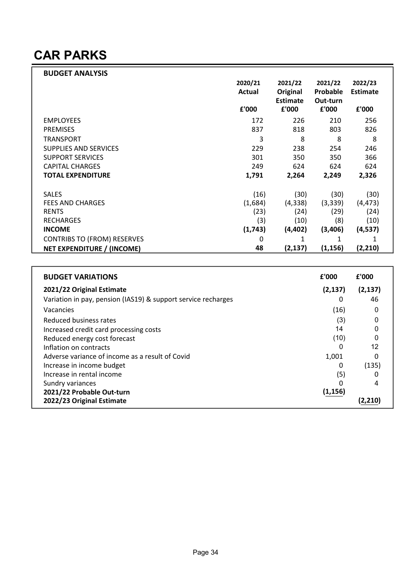### CAR PARKS

| <b>BUDGET ANALYSIS</b>             |         |                 |          |                 |
|------------------------------------|---------|-----------------|----------|-----------------|
|                                    | 2020/21 | 2021/22         | 2021/22  | 2022/23         |
|                                    | Actual  | Original        | Probable | <b>Estimate</b> |
|                                    |         | <b>Estimate</b> | Out-turn |                 |
|                                    | £'000   | £'000           | £'000    | £'000           |
| <b>EMPLOYEES</b>                   | 172     | 226             | 210      | 256             |
| <b>PREMISES</b>                    | 837     | 818             | 803      | 826             |
| <b>TRANSPORT</b>                   | 3       | 8               | 8        | 8               |
| SUPPLIES AND SERVICES              | 229     | 238             | 254      | 246             |
| <b>SUPPORT SERVICES</b>            | 301     | 350             | 350      | 366             |
| <b>CAPITAL CHARGES</b>             | 249     | 624             | 624      | 624             |
| <b>TOTAL EXPENDITURE</b>           | 1,791   | 2,264           | 2,249    | 2,326           |
|                                    |         |                 |          |                 |
| <b>SALES</b>                       | (16)    | (30)            | (30)     | (30)            |
| <b>FEES AND CHARGES</b>            | (1,684) | (4, 338)        | (3, 339) | (4, 473)        |
| <b>RENTS</b>                       | (23)    | (24)            | (29)     | (24)            |
| <b>RECHARGES</b>                   | (3)     | (10)            | (8)      | (10)            |
| <b>INCOME</b>                      | (1,743) | (4, 402)        | (3,406)  | (4, 537)        |
| <b>CONTRIBS TO (FROM) RESERVES</b> | 0       |                 | 1        |                 |
| NET EXPENDITURE / (INCOME)         | 48      | (2, 137)        | (1, 156) | (2, 210)        |

| <b>BUDGET VARIATIONS</b>                                      | £'000    | £'000    |
|---------------------------------------------------------------|----------|----------|
| 2021/22 Original Estimate                                     | (2, 137) | (2, 137) |
| Variation in pay, pension (IAS19) & support service recharges | 0        | 46       |
| Vacancies                                                     | (16)     | 0        |
| Reduced business rates                                        | (3)      |          |
| Increased credit card processing costs                        | 14       |          |
| Reduced energy cost forecast                                  | (10)     |          |
| Inflation on contracts                                        | 0        | 12       |
| Adverse variance of income as a result of Covid               | 1,001    |          |
| Increase in income budget                                     | 0        | (135)    |
| Increase in rental income                                     | (5)      |          |
| Sundry variances                                              |          | 4        |
| 2021/22 Probable Out-turn                                     | (1, 156) |          |
| 2022/23 Original Estimate                                     |          | (2,210   |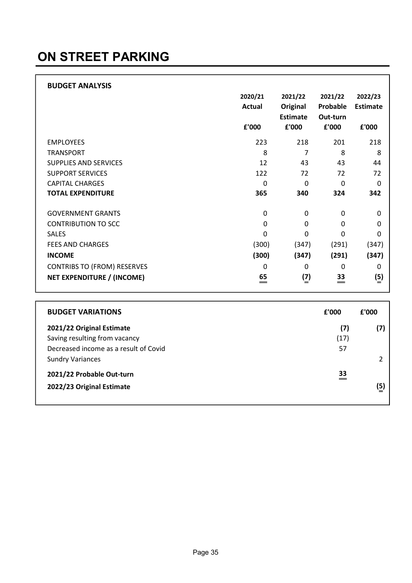## ON STREET PARKING

| <b>BUDGET ANALYSIS</b>             |               |                 |             |                 |
|------------------------------------|---------------|-----------------|-------------|-----------------|
|                                    | 2020/21       | 2021/22         | 2021/22     | 2022/23         |
|                                    | <b>Actual</b> | Original        | Probable    | <b>Estimate</b> |
|                                    |               | <b>Estimate</b> | Out-turn    |                 |
|                                    | £'000         | £'000           | £'000       | £'000           |
| <b>EMPLOYEES</b>                   | 223           | 218             | 201         | 218             |
| <b>TRANSPORT</b>                   | 8             | 7               | 8           | 8               |
| <b>SUPPLIES AND SERVICES</b>       | 12            | 43              | 43          | 44              |
| <b>SUPPORT SERVICES</b>            | 122           | 72              | 72          | 72              |
| <b>CAPITAL CHARGES</b>             | 0             | $\Omega$        | 0           | $\Omega$        |
| <b>TOTAL EXPENDITURE</b>           | 365           | 340             | 324         | 342             |
| <b>GOVERNMENT GRANTS</b>           | 0             | 0               | 0           | 0               |
| <b>CONTRIBUTION TO SCC</b>         | 0             | 0               | 0           | 0               |
| <b>SALES</b>                       | 0             | 0               | 0           | 0               |
| <b>FEES AND CHARGES</b>            | (300)         | (347)           | (291)       | (347)           |
| <b>INCOME</b>                      | (300)         | (347)           | (291)       | (347)           |
| <b>CONTRIBS TO (FROM) RESERVES</b> | 0             | $\Omega$        | $\mathbf 0$ | 0               |
| NET EXPENDITURE / (INCOME)         | 65<br>$=$     | $\binom{7}{2}$  | 33<br>$=$   | (5)             |

| <b>BUDGET VARIATIONS</b>                                               | £'000      | £'000 |
|------------------------------------------------------------------------|------------|-------|
| 2021/22 Original Estimate                                              | (7)        | (7)   |
| Saving resulting from vacancy<br>Decreased income as a result of Covid | (17)<br>57 |       |
| <b>Sundry Variances</b>                                                |            |       |
| 2021/22 Probable Out-turn                                              | 33<br>$=$  |       |
| 2022/23 Original Estimate                                              |            | (5)   |
|                                                                        |            |       |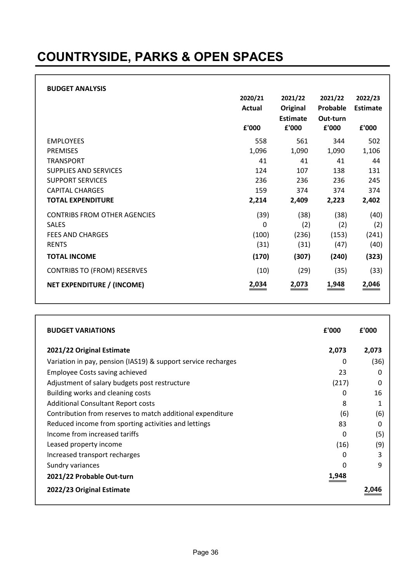## COUNTRYSIDE, PARKS & OPEN SPACES

|                                     | 2020/21<br>Actual | 2021/22<br>Original      | 2021/22<br>Probable | 2022/23<br><b>Estimate</b> |
|-------------------------------------|-------------------|--------------------------|---------------------|----------------------------|
|                                     | £'000             | <b>Estimate</b><br>£'000 | Out-turn<br>£'000   | £'000                      |
| <b>EMPLOYEES</b>                    | 558               | 561                      | 344                 | 502                        |
| <b>PREMISES</b>                     | 1,096             | 1,090                    | 1,090               | 1,106                      |
| <b>TRANSPORT</b>                    | 41                | 41                       | 41                  | 44                         |
| <b>SUPPLIES AND SERVICES</b>        | 124               | 107                      | 138                 | 131                        |
| <b>SUPPORT SERVICES</b>             | 236               | 236                      | 236                 | 245                        |
| <b>CAPITAL CHARGES</b>              | 159               | 374                      | 374                 | 374                        |
| <b>TOTAL EXPENDITURE</b>            | 2,214             | 2,409                    | 2,223               | 2,402                      |
| <b>CONTRIBS FROM OTHER AGENCIES</b> | (39)              | (38)                     | (38)                | (40)                       |
| <b>SALES</b>                        | 0                 | (2)                      | (2)                 | (2)                        |
| <b>FEES AND CHARGES</b>             | (100)             | (236)                    | (153)               | (241)                      |
| <b>RENTS</b>                        | (31)              | (31)                     | (47)                | (40)                       |
| <b>TOTAL INCOME</b>                 | (170)             | (307)                    | (240)               | (323)                      |
| <b>CONTRIBS TO (FROM) RESERVES</b>  | (10)              | (29)                     | (35)                | (33)                       |
| NET EXPENDITURE / (INCOME)          | 2,034             | 2,073                    | 1,948               | 2,046                      |

| <b>BUDGET VARIATIONS</b>                                      | £'000 | £'000 |
|---------------------------------------------------------------|-------|-------|
| 2021/22 Original Estimate                                     | 2,073 | 2,073 |
| Variation in pay, pension (IAS19) & support service recharges | 0     | (36)  |
| <b>Employee Costs saving achieved</b>                         | 23    | 0     |
| Adjustment of salary budgets post restructure                 | (217) | 0     |
| Building works and cleaning costs                             | 0     | 16    |
| <b>Additional Consultant Report costs</b>                     | 8     |       |
| Contribution from reserves to match additional expenditure    | (6)   | (6)   |
| Reduced income from sporting activities and lettings          | 83    | 0     |
| Income from increased tariffs                                 | 0     | (5)   |
| Leased property income                                        | (16)  | (9)   |
| Increased transport recharges                                 | 0     | 3     |
| Sundry variances                                              | 0     | 9     |
| 2021/22 Probable Out-turn                                     | 1,948 |       |
| 2022/23 Original Estimate                                     |       |       |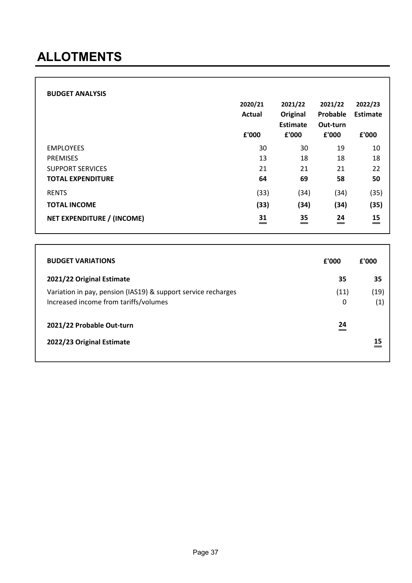### ALLOTMENTS

| <b>BUDGET ANALYSIS</b>            | 2020/21<br><b>Actual</b><br>£'000 | 2021/22<br>Original<br>Estimate<br>£'000 | 2021/22<br>Probable<br>Out-turn<br>£'000 | 2022/23<br>Estimate<br>£'000 |
|-----------------------------------|-----------------------------------|------------------------------------------|------------------------------------------|------------------------------|
| <b>EMPLOYEES</b>                  | 30                                | 30                                       | 19                                       | 10                           |
| <b>PREMISES</b>                   | 13                                | 18                                       | 18                                       | 18                           |
| <b>SUPPORT SERVICES</b>           | 21                                | 21                                       | 21                                       | 22                           |
| <b>TOTAL EXPENDITURE</b>          | 64                                | 69                                       | 58                                       | 50                           |
| <b>RENTS</b>                      | (33)                              | (34)                                     | (34)                                     | (35)                         |
| <b>TOTAL INCOME</b>               | (33)                              | (34)                                     | (34)                                     | (35)                         |
| <b>NET EXPENDITURE / (INCOME)</b> | 31<br>$=$                         | $\overset{35}{=}$                        | 24<br>$=$                                | 15<br>$\qquad \qquad =$      |

| <b>BUDGET VARIATIONS</b>                                                                               | £'000     | £'000                     |
|--------------------------------------------------------------------------------------------------------|-----------|---------------------------|
| 2021/22 Original Estimate                                                                              | 35        | 35                        |
| Variation in pay, pension (IAS19) & support service recharges<br>Increased income from tariffs/volumes | (11)<br>0 | (19)<br>$\left( 1\right)$ |
| 2021/22 Probable Out-turn                                                                              | 24<br>=   |                           |
| 2022/23 Original Estimate                                                                              |           | 15                        |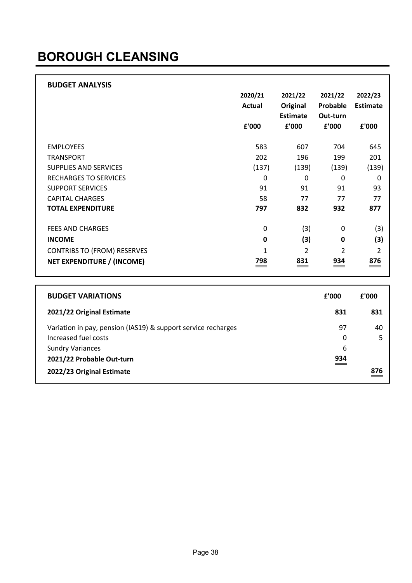### BOROUGH CLEANSING

| <b>BUDGET ANALYSIS</b>             |               |                 |                |                 |
|------------------------------------|---------------|-----------------|----------------|-----------------|
|                                    | 2020/21       | 2021/22         | 2021/22        | 2022/23         |
|                                    | <b>Actual</b> | Original        | Probable       | <b>Estimate</b> |
|                                    |               | <b>Estimate</b> | Out-turn       |                 |
|                                    | £'000         | £'000           | £'000          | £'000           |
| <b>EMPLOYEES</b>                   | 583           | 607             | 704            | 645             |
| <b>TRANSPORT</b>                   | 202           | 196             | 199            | 201             |
| <b>SUPPLIES AND SERVICES</b>       | (137)         | (139)           | (139)          | (139)           |
| <b>RECHARGES TO SERVICES</b>       | 0             | $\Omega$        | 0              | $\mathbf 0$     |
| <b>SUPPORT SERVICES</b>            | 91            | 91              | 91             | 93              |
| <b>CAPITAL CHARGES</b>             | 58            | 77              | 77             | 77              |
| <b>TOTAL EXPENDITURE</b>           | 797           | 832             | 932            | 877             |
|                                    |               |                 |                |                 |
| <b>FEES AND CHARGES</b>            | 0             | (3)             | 0              | (3)             |
| <b>INCOME</b>                      | $\mathbf 0$   | (3)             | 0              | (3)             |
| <b>CONTRIBS TO (FROM) RESERVES</b> | 1             | $\overline{2}$  | $\overline{2}$ | 2               |
| NET EXPENDITURE / (INCOME)         | 798<br>___    | 831<br>==       | 934<br>__      | 876<br>$\equiv$ |

| <b>BUDGET VARIATIONS</b>                                      | £'000 | f'000 |
|---------------------------------------------------------------|-------|-------|
| 2021/22 Original Estimate                                     | 831   | 831   |
| Variation in pay, pension (IAS19) & support service recharges | 97    | 40    |
| Increased fuel costs                                          | 0     |       |
| <b>Sundry Variances</b>                                       | 6     |       |
| 2021/22 Probable Out-turn                                     | 934   |       |
| 2022/23 Original Estimate                                     |       | 876   |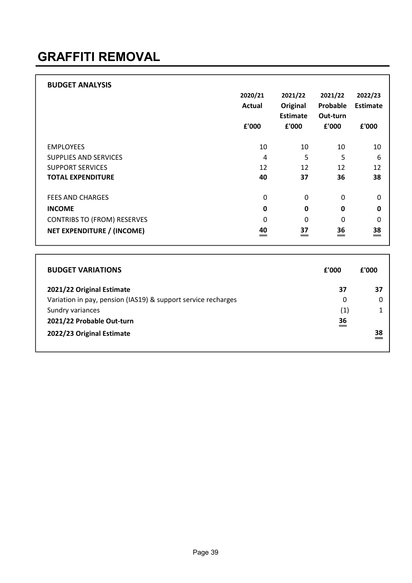| <b>BUDGET ANALYSIS</b>             |               |                 |          |                   |
|------------------------------------|---------------|-----------------|----------|-------------------|
|                                    | 2020/21       | 2021/22         | 2021/22  | 2022/23           |
|                                    | <b>Actual</b> | Original        | Probable | <b>Estimate</b>   |
|                                    |               | <b>Estimate</b> | Out-turn |                   |
|                                    | £'000         | £'000           | £'000    | £'000             |
|                                    |               |                 |          |                   |
| <b>EMPLOYEES</b>                   | 10            | 10              | 10       | 10                |
| SUPPLIES AND SERVICES              | 4             | 5               | 5        | 6                 |
| <b>SUPPORT SERVICES</b>            | 12            | 12              | 12       | 12                |
| <b>TOTAL EXPENDITURE</b>           | 40            | 37              | 36       | 38                |
|                                    |               |                 |          |                   |
| <b>FEES AND CHARGES</b>            | $\Omega$      | 0               | 0        | 0                 |
| <b>INCOME</b>                      | 0             | 0               | 0        | $\mathbf 0$       |
| <b>CONTRIBS TO (FROM) RESERVES</b> | $\Omega$      | 0               | 0        | $\Omega$          |
| NET EXPENDITURE / (INCOME)         | 40            | 37<br>=         | 36<br>== | $\overset{38}{=}$ |

| <b>BUDGET VARIATIONS</b>                                      | £'000     | £'000 |
|---------------------------------------------------------------|-----------|-------|
| 2021/22 Original Estimate                                     | 37        | 37    |
| Variation in pay, pension (IAS19) & support service recharges | 0         | 0     |
| Sundry variances                                              | (1)       |       |
| 2021/22 Probable Out-turn                                     | 36<br>$=$ |       |
| 2022/23 Original Estimate                                     |           | 38    |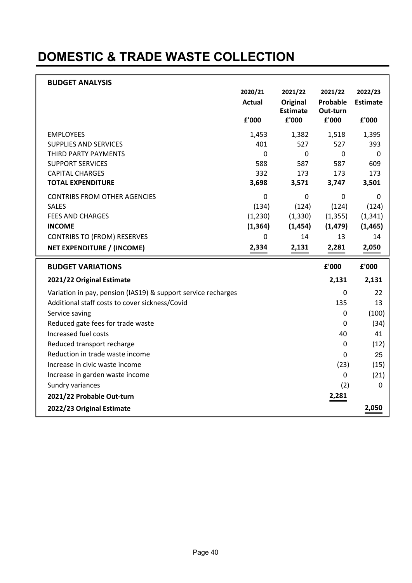# DOMESTIC & TRADE WASTE COLLECTION

| <b>BUDGET ANALYSIS</b>                                        |                |                          |                   |                 |
|---------------------------------------------------------------|----------------|--------------------------|-------------------|-----------------|
|                                                               | 2020/21        | 2021/22                  | 2021/22           | 2022/23         |
|                                                               | <b>Actual</b>  | Original                 | Probable          | <b>Estimate</b> |
|                                                               | £'000          | <b>Estimate</b><br>£'000 | Out-turn<br>£'000 | £'000           |
|                                                               |                |                          |                   |                 |
| <b>EMPLOYEES</b>                                              | 1,453          | 1,382                    | 1,518             | 1,395           |
| <b>SUPPLIES AND SERVICES</b>                                  | 401            | 527                      | 527               | 393             |
| THIRD PARTY PAYMENTS                                          | $\Omega$       | $\mathbf 0$              | $\mathbf 0$       | 0               |
| <b>SUPPORT SERVICES</b>                                       | 588            | 587                      | 587               | 609             |
| <b>CAPITAL CHARGES</b>                                        | 332            | 173                      | 173               | 173             |
| <b>TOTAL EXPENDITURE</b>                                      | 3,698          | 3,571                    | 3,747             | 3,501           |
| <b>CONTRIBS FROM OTHER AGENCIES</b>                           | $\overline{0}$ | $\mathbf 0$              | $\overline{0}$    | 0               |
| <b>SALES</b>                                                  | (134)          | (124)                    | (124)             | (124)           |
| <b>FEES AND CHARGES</b>                                       | (1,230)        | (1, 330)                 | (1, 355)          | (1, 341)        |
| <b>INCOME</b>                                                 | (1, 364)       | (1, 454)                 | (1, 479)          | (1, 465)        |
| <b>CONTRIBS TO (FROM) RESERVES</b>                            | 0              | 14                       | 13                | 14              |
| <b>NET EXPENDITURE / (INCOME)</b>                             | 2,334          | 2,131                    | 2,281             | 2,050           |
| <b>BUDGET VARIATIONS</b>                                      |                |                          | £'000             | £'000           |
| 2021/22 Original Estimate                                     |                |                          | 2,131             | 2,131           |
| Variation in pay, pension (IAS19) & support service recharges |                |                          | 0                 | 22              |
| Additional staff costs to cover sickness/Covid                |                |                          | 135               | 13              |
| Service saving                                                |                |                          | 0                 | (100)           |
|                                                               |                |                          |                   |                 |
| Reduced gate fees for trade waste                             |                |                          | 0                 | (34)            |
| Increased fuel costs                                          |                |                          | 40                | 41              |
| Reduced transport recharge                                    |                |                          | 0                 | (12)            |
| Reduction in trade waste income                               |                |                          | 0                 | 25              |
| Increase in civic waste income                                |                |                          | (23)              | (15)            |
| Increase in garden waste income                               |                |                          | 0                 | (21)            |
| Sundry variances                                              |                |                          | (2)               | 0               |
| 2021/22 Probable Out-turn                                     |                |                          | 2,281             |                 |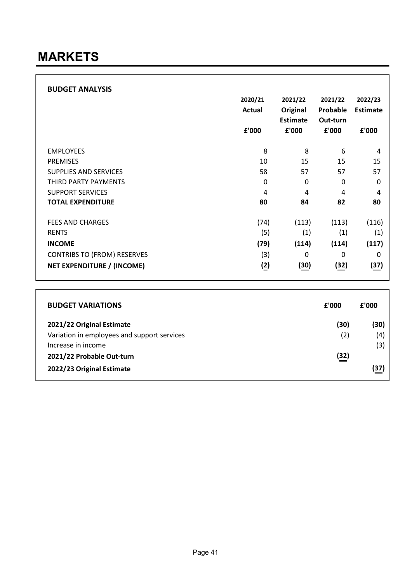| <b>BUDGET ANALYSIS</b>             | 2020/21<br><b>Actual</b><br>£'000 | 2021/22<br>Original<br><b>Estimate</b><br>£'000 | 2021/22<br>Probable<br>Out-turn<br>£'000 | 2022/23<br><b>Estimate</b><br>£'000 |
|------------------------------------|-----------------------------------|-------------------------------------------------|------------------------------------------|-------------------------------------|
| <b>EMPLOYEES</b>                   | 8                                 | 8                                               | 6                                        | 4                                   |
| <b>PREMISES</b>                    | 10                                | 15                                              | 15                                       | 15                                  |
| <b>SUPPLIES AND SERVICES</b>       | 58                                | 57                                              | 57                                       | 57                                  |
| THIRD PARTY PAYMENTS               | $\mathbf{0}$                      | 0                                               | 0                                        | $\Omega$                            |
| <b>SUPPORT SERVICES</b>            | 4                                 | 4                                               | 4                                        | 4                                   |
| <b>TOTAL EXPENDITURE</b>           | 80                                | 84                                              | 82                                       | 80                                  |
| <b>FEES AND CHARGES</b>            | (74)                              | (113)                                           | (113)                                    | (116)                               |
| <b>RENTS</b>                       | (5)                               | (1)                                             | (1)                                      | (1)                                 |
| <b>INCOME</b>                      | (79)                              | (114)                                           | (114)                                    | (117)                               |
| <b>CONTRIBS TO (FROM) RESERVES</b> | (3)                               | 0                                               | 0                                        | 0                                   |
| <b>NET EXPENDITURE / (INCOME)</b>  | $\binom{2}{ }$                    | (30)                                            | (32)                                     | (37)                                |

| <b>BUDGET VARIATIONS</b>                    | £'000       | £'000 |
|---------------------------------------------|-------------|-------|
| 2021/22 Original Estimate                   | (30)        | (30)  |
| Variation in employees and support services | (2)         | (4)   |
| Increase in income                          |             | (3)   |
| 2021/22 Probable Out-turn                   | <u>(32)</u> |       |
| 2022/23 Original Estimate                   |             | (37)  |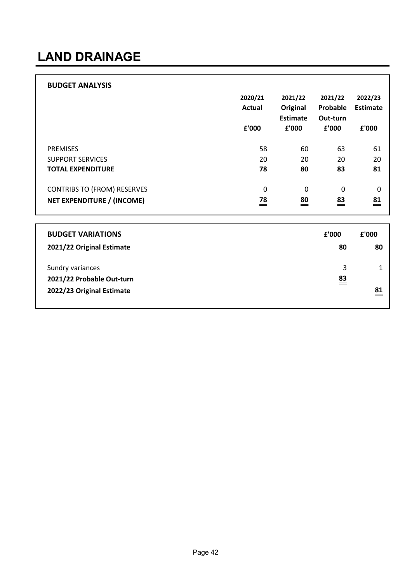# LAND DRAINAGE

| <b>BUDGET ANALYSIS</b>             |               |                   |                 |             |
|------------------------------------|---------------|-------------------|-----------------|-------------|
|                                    | 2020/21       | 2021/22           | 2021/22         | 2022/23     |
|                                    | <b>Actual</b> | <b>Original</b>   | Probable        | Estimate    |
|                                    |               | Estimate          | Out-turn        |             |
|                                    | £'000         | £'000             | £'000           | £'000       |
|                                    |               |                   |                 |             |
| <b>PREMISES</b>                    | 58            | 60                | 63              | 61          |
| <b>SUPPORT SERVICES</b>            | 20            | 20                | 20              | 20          |
| <b>TOTAL EXPENDITURE</b>           | 78            | 80                | 83              | 81          |
| <b>CONTRIBS TO (FROM) RESERVES</b> | 0             | 0                 | 0               | $\mathbf 0$ |
| NET EXPENDITURE / (INCOME)         | 78<br>$=$     | $\overset{80}{=}$ | 83<br>$\, = \,$ | 81<br>$=$   |

| <b>BUDGET VARIATIONS</b>  | £'000     | £'000                          |
|---------------------------|-----------|--------------------------------|
| 2021/22 Original Estimate | 80        | 80                             |
| Sundry variances          | 3         |                                |
| 2021/22 Probable Out-turn | 83<br>$=$ |                                |
| 2022/23 Original Estimate |           | 81<br>$\overline{\phantom{a}}$ |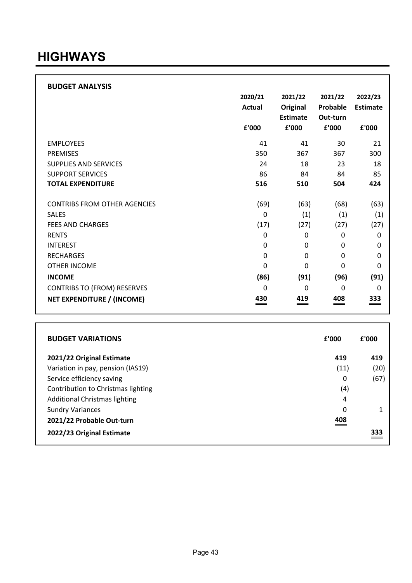#### **HIGHWAYS**

| 2020/21                    | 2021/22                    | 2021/22    | 2022/23         |
|----------------------------|----------------------------|------------|-----------------|
| <b>Actual</b>              | Original                   | Probable   | <b>Estimate</b> |
|                            | <b>Estimate</b>            | Out-turn   |                 |
| £'000                      | £'000                      | £'000      | £'000           |
| 41                         | 41                         | 30         | 21              |
| 350                        | 367                        | 367        | 300             |
| 24                         | 18                         | 23         | 18              |
| 86                         | 84                         | 84         | 85              |
| 516                        | 510                        | 504        | 424             |
|                            |                            |            |                 |
| (69)                       | (63)                       | (68)       | (63)            |
| 0                          | (1)                        | (1)        | (1)             |
| (17)                       | (27)                       | (27)       | (27)            |
| 0                          | 0                          | 0          | 0               |
| $\mathbf{0}$               | 0                          | 0          | 0               |
| $\mathbf 0$                | 0                          | 0          | 0               |
| 0                          | $\mathbf 0$                | 0          | 0               |
| (86)                       | (91)                       | (96)       | (91)            |
| $\Omega$                   | $\Omega$                   | 0          | $\Omega$        |
| 430<br>$\hspace{0.05cm} =$ | 419<br>$\hspace{0.05cm} =$ | 408<br>___ | 333<br>==       |
|                            |                            |            |                 |

| <b>BUDGET VARIATIONS</b>             | £'000      | £'000 |
|--------------------------------------|------------|-------|
| 2021/22 Original Estimate            | 419        | 419   |
| Variation in pay, pension (IAS19)    | (11)       | (20)  |
| Service efficiency saving            | 0          | (67)  |
| Contribution to Christmas lighting   | (4)        |       |
| <b>Additional Christmas lighting</b> | 4          |       |
| <b>Sundry Variances</b>              | 0          |       |
| 2021/22 Probable Out-turn            | 408<br>___ |       |
| 2022/23 Original Estimate            |            | 333   |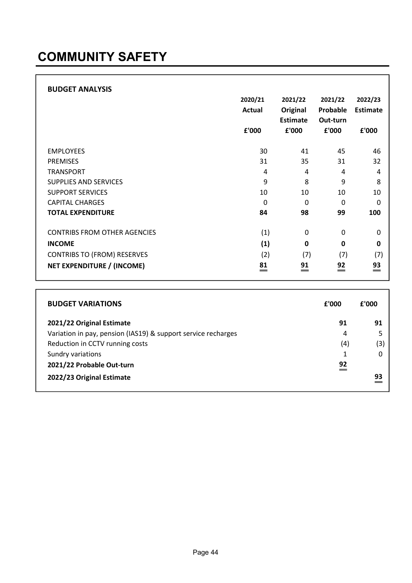| <b>BUDGET ANALYSIS</b>              | 2020/21<br><b>Actual</b><br>£'000 | 2021/22<br>Original<br><b>Estimate</b><br>£'000 | 2021/22<br>Probable<br>Out-turn<br>£'000 | 2022/23<br><b>Estimate</b><br>£'000 |
|-------------------------------------|-----------------------------------|-------------------------------------------------|------------------------------------------|-------------------------------------|
| <b>EMPLOYEES</b>                    | 30                                | 41                                              | 45                                       | 46                                  |
| <b>PREMISES</b>                     | 31                                | 35                                              | 31                                       | 32                                  |
| <b>TRANSPORT</b>                    | 4                                 | 4                                               | 4                                        | 4                                   |
| <b>SUPPLIES AND SERVICES</b>        | 9                                 | 8                                               | 9                                        | 8                                   |
| <b>SUPPORT SERVICES</b>             | 10                                | 10                                              | 10                                       | 10                                  |
| <b>CAPITAL CHARGES</b>              | $\Omega$                          | $\Omega$                                        | 0                                        | $\mathbf{0}$                        |
| <b>TOTAL EXPENDITURE</b>            | 84                                | 98                                              | 99                                       | 100                                 |
|                                     |                                   |                                                 |                                          |                                     |
| <b>CONTRIBS FROM OTHER AGENCIES</b> | (1)                               | 0                                               | 0                                        | $\mathbf{0}$                        |
| <b>INCOME</b>                       | (1)                               | $\mathbf 0$                                     | 0                                        | 0                                   |
| <b>CONTRIBS TO (FROM) RESERVES</b>  | (2)                               | (7)                                             | (7)                                      | (7)                                 |
| <b>NET EXPENDITURE / (INCOME)</b>   | 81<br>$=$                         | 91<br>=                                         | 92<br>—                                  | 93<br>$=$                           |

| <b>BUDGET VARIATIONS</b>                                      | £'000   | £'000 |
|---------------------------------------------------------------|---------|-------|
| 2021/22 Original Estimate                                     | 91      | 91    |
| Variation in pay, pension (IAS19) & support service recharges | 4       |       |
| Reduction in CCTV running costs                               | (4)     | (3)   |
| Sundry variations                                             |         | 0     |
| 2021/22 Probable Out-turn                                     | 92<br>= |       |
| 2022/23 Original Estimate                                     |         | 93    |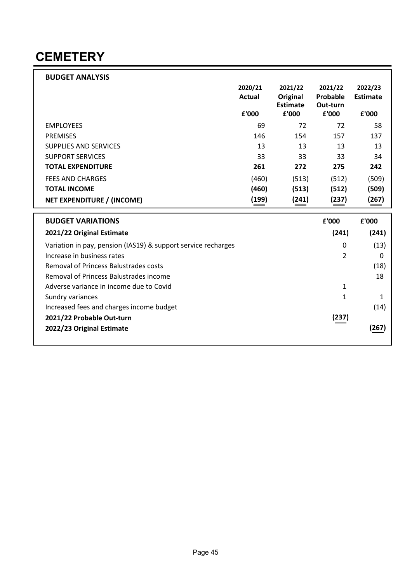#### **CEMETERY**

| <b>BUDGET ANALYSIS</b>                                        |         |                             |                   |                 |
|---------------------------------------------------------------|---------|-----------------------------|-------------------|-----------------|
|                                                               | 2020/21 | 2021/22                     | 2021/22           | 2022/23         |
|                                                               | Actual  | Original<br><b>Estimate</b> | Probable          | <b>Estimate</b> |
|                                                               | £'000   | £'000                       | Out-turn<br>£'000 | £'000           |
| <b>EMPLOYEES</b>                                              | 69      | 72                          | 72                | 58              |
| <b>PREMISES</b>                                               | 146     | 154                         | 157               | 137             |
| <b>SUPPLIES AND SERVICES</b>                                  | 13      | 13                          | 13                | 13              |
| <b>SUPPORT SERVICES</b>                                       | 33      | 33                          | 33                | 34              |
| <b>TOTAL EXPENDITURE</b>                                      | 261     | 272                         | 275               | 242             |
| <b>FEES AND CHARGES</b>                                       | (460)   | (513)                       | (512)             | (509)           |
| <b>TOTAL INCOME</b>                                           | (460)   | (513)                       | (512)             | (509)           |
| <b>NET EXPENDITURE / (INCOME)</b>                             | (199)   | (241)                       | (237)             | (267)           |
|                                                               |         |                             |                   |                 |
| <b>BUDGET VARIATIONS</b>                                      |         |                             | £'000             | £'000           |
| 2021/22 Original Estimate                                     |         |                             | (241)             | (241)           |
| Variation in pay, pension (IAS19) & support service recharges |         |                             | 0                 | (13)            |
| Increase in business rates                                    |         |                             | $\overline{2}$    | 0               |
| <b>Removal of Princess Balustrades costs</b>                  |         |                             |                   | (18)            |
| Removal of Princess Balustrades income                        |         |                             |                   | 18              |
| Adverse variance in income due to Covid                       |         |                             | 1                 |                 |
| Sundry variances                                              |         |                             | 1                 | $\mathbf{1}$    |
| Increased fees and charges income budget                      |         |                             |                   | (14)            |
| 2021/22 Probable Out-turn                                     |         |                             | (237)             |                 |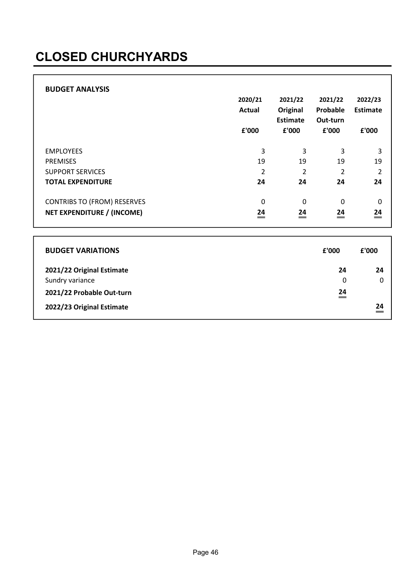# CLOSED CHURCHYARDS

| <b>BUDGET ANALYSIS</b>             | 2020/21<br><b>Actual</b><br>£'000 | 2021/22<br><b>Original</b><br><b>Estimate</b><br>£'000 | 2021/22<br>Probable<br>Out-turn<br>£'000 | 2022/23<br><b>Estimate</b><br>£'000 |
|------------------------------------|-----------------------------------|--------------------------------------------------------|------------------------------------------|-------------------------------------|
| <b>EMPLOYEES</b>                   | 3                                 | 3                                                      | 3                                        | 3                                   |
| <b>PREMISES</b>                    | 19                                | 19                                                     | 19                                       | 19                                  |
| <b>SUPPORT SERVICES</b>            | 2                                 | 2                                                      | 2                                        | $\overline{2}$                      |
| <b>TOTAL EXPENDITURE</b>           | 24                                | 24                                                     | 24                                       | 24                                  |
| <b>CONTRIBS TO (FROM) RESERVES</b> | $\mathbf 0$                       | $\mathbf 0$                                            | $\mathbf 0$                              | 0                                   |
| NET EXPENDITURE / (INCOME)         | 24<br>_                           | 24                                                     | 24                                       | $\stackrel{24}{=}$                  |

| <b>BUDGET VARIATIONS</b>  | £'000     | £'000 |
|---------------------------|-----------|-------|
| 2021/22 Original Estimate | 24        | 24    |
| Sundry variance           | 0         | 0     |
| 2021/22 Probable Out-turn | 24<br>$=$ |       |
| 2022/23 Original Estimate |           | 24    |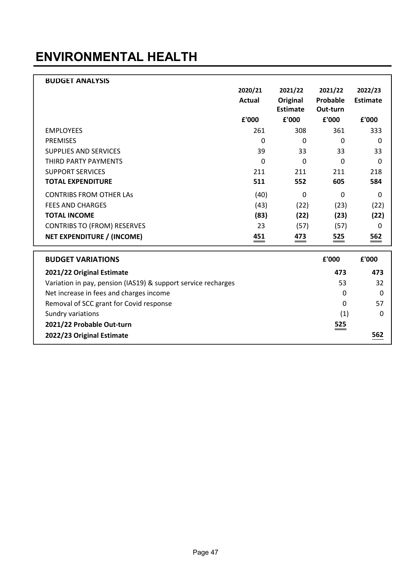### ENVIRONMENTAL HEALTH

| <b>BUDGET ANALYSIS</b>                                        |         |                 |              |                 |
|---------------------------------------------------------------|---------|-----------------|--------------|-----------------|
|                                                               | 2020/21 | 2021/22         | 2021/22      | 2022/23         |
|                                                               | Actual  | Original        | Probable     | <b>Estimate</b> |
|                                                               |         | <b>Estimate</b> | Out-turn     |                 |
|                                                               | £'000   | £'000           | £'000        | £'000           |
| <b>EMPLOYEES</b>                                              | 261     | 308             | 361          | 333             |
| <b>PREMISES</b>                                               | 0       | 0               | 0            | $\Omega$        |
| <b>SUPPLIES AND SERVICES</b>                                  | 39      | 33              | 33           | 33              |
| THIRD PARTY PAYMENTS                                          | 0       | $\Omega$        | 0            | $\Omega$        |
| <b>SUPPORT SERVICES</b>                                       | 211     | 211             | 211          | 218             |
| <b>TOTAL EXPENDITURE</b>                                      | 511     | 552             | 605          | 584             |
| <b>CONTRIBS FROM OTHER LAS</b>                                | (40)    | 0               | 0            | $\Omega$        |
| <b>FEES AND CHARGES</b>                                       | (43)    | (22)            | (23)         | (22)            |
| <b>TOTAL INCOME</b>                                           | (83)    | (22)            | (23)         | (22)            |
| <b>CONTRIBS TO (FROM) RESERVES</b>                            | 23      | (57)            | (57)         | $\Omega$        |
| <b>NET EXPENDITURE / (INCOME)</b>                             | 451     | 473             | 525          | 562             |
| <b>BUDGET VARIATIONS</b>                                      |         |                 | £'000        | £'000           |
|                                                               |         |                 |              |                 |
| 2021/22 Original Estimate                                     |         |                 | 473          | 473             |
| Variation in pay, pension (IAS19) & support service recharges |         |                 | 53           | 32              |
| Net increase in fees and charges income                       |         |                 | $\mathbf{0}$ | 0               |
| Removal of SCC grant for Covid response                       |         |                 | $\mathbf{0}$ | 57              |
| Sundry variations                                             |         |                 | (1)          | 0               |
| 2021/22 Probable Out-turn                                     |         |                 | 525          |                 |
| 2022/23 Original Estimate                                     |         |                 |              | 562             |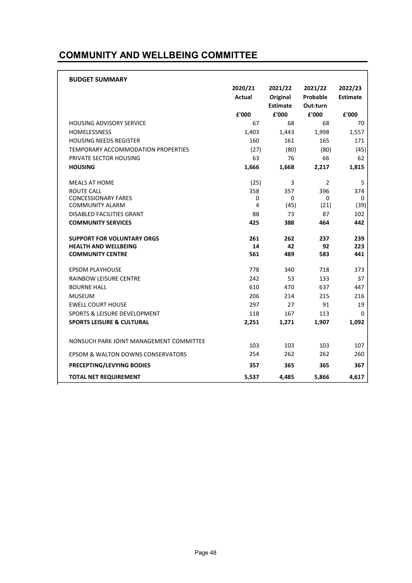#### COMMUNITY AND WELLBEING COMMITTEE

| <b>BUDGET SUMMARY</b>                   |               |                          |                   |                 |
|-----------------------------------------|---------------|--------------------------|-------------------|-----------------|
|                                         | 2020/21       | 2021/22                  | 2021/22           | 2022/23         |
|                                         | <b>Actual</b> | Original                 | Probable          | <b>Estimate</b> |
|                                         | £'000         | <b>Estimate</b><br>£'000 | Out-turn<br>£'000 | £'000           |
| <b>HOUSING ADVISORY SERVICE</b>         | 67            | 68                       | 68                | 70              |
| <b>HOMELESSNESS</b>                     | 1,403         | 1,443                    | 1,998             | 1,557           |
| <b>HOUSING NEEDS REGISTER</b>           | 160           | 161                      | 165               | 171             |
| TEMPORARY ACCOMMODATION PROPERTIES      | (27)          | (80)                     | (80)              | (45)            |
| PRIVATE SECTOR HOUSING                  | 63            | 76                       | 66                | 62              |
| <b>HOUSING</b>                          | 1,666         | 1,668                    | 2,217             | 1,815           |
| <b>MEALS AT HOME</b>                    | (25)          | 3                        | 2                 | 5               |
| ROUTE CALL                              | 358           | 357                      | 396               | 374             |
| <b>CONCESSIONARY FARES</b>              | 0             | 0                        | 0                 | 0               |
| <b>COMMUNITY ALARM</b>                  | 4             | (45)                     | (21)              | (39)            |
| <b>DISABLED FACILITIES GRANT</b>        | 88            | 73                       | 87                | 102             |
| <b>COMMUNITY SERVICES</b>               | 425           | 388                      | 464               | 442             |
| <b>SUPPORT FOR VOLUNTARY ORGS</b>       | 261           | 262                      | 237               | 239             |
| <b>HEALTH AND WELLBEING</b>             | 14            | 42                       | 92                | 223             |
| <b>COMMUNITY CENTRE</b>                 | 561           | 489                      | 583               | 441             |
| <b>EPSOM PLAYHOUSE</b>                  | 778           | 340                      | 718               | 373             |
| <b>RAINBOW LEISURE CENTRE</b>           | 242           | 53                       | 133               | 37              |
| <b>BOURNE HALL</b>                      | 610           | 470                      | 637               | 447             |
| <b>MUSEUM</b>                           | 206           | 214                      | 215               | 216             |
| <b>EWELL COURT HOUSE</b>                | 297           | 27                       | 91                | 19              |
| <b>SPORTS &amp; LEISURE DEVELOPMENT</b> | 118           | 167                      | 113               | 0               |
| <b>SPORTS LEISURE &amp; CULTURAL</b>    | 2,251         | 1,271                    | 1,907             | 1,092           |
| NONSUCH PARK JOINT MANAGEMENT COMMITTEE | 103           | 103                      | 103               | 107             |
| EPSOM & WALTON DOWNS CONSERVATORS       | 254           | 262                      | 262               | 260             |
|                                         |               |                          |                   |                 |
| <b>PRECEPTING/LEVYING BODIES</b>        | 357           | 365                      | 365               | 367             |
| <b>TOTAL NET REQUIREMENT</b>            | 5,537         | 4,485                    | 5,866             | 4,617           |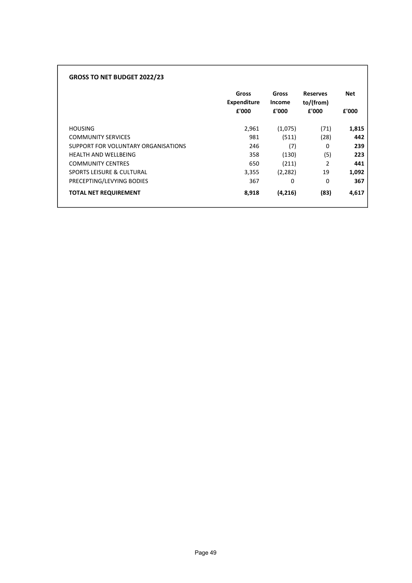| <b>GROSS TO NET BUDGET 2022/23</b>   |                                      |                                 |                                       |                     |
|--------------------------------------|--------------------------------------|---------------------------------|---------------------------------------|---------------------|
|                                      | Gross<br><b>Expenditure</b><br>£'000 | Gross<br><b>Income</b><br>£'000 | <b>Reserves</b><br>to/(from)<br>£'000 | <b>Net</b><br>£'000 |
| <b>HOUSING</b>                       | 2,961                                | (1,075)                         | (71)                                  | 1,815               |
| <b>COMMUNITY SERVICES</b>            | 981                                  | (511)                           | (28)                                  | 442                 |
| SUPPORT FOR VOLUNTARY ORGANISATIONS  | 246                                  | (7)                             | 0                                     | 239                 |
| <b>HEALTH AND WELLBEING</b>          | 358                                  | (130)                           | (5)                                   | 223                 |
| <b>COMMUNITY CENTRES</b>             | 650                                  | (211)                           | $\mathcal{P}$                         | 441                 |
| <b>SPORTS LEISURE &amp; CULTURAL</b> | 3,355                                | (2, 282)                        | 19                                    | 1,092               |
| PRECEPTING/LEVYING BODIES            | 367                                  | 0                               | $\Omega$                              | 367                 |
| <b>TOTAL NET REQUIREMENT</b>         | 8,918                                | (4,216)                         | (83)                                  | 4,617               |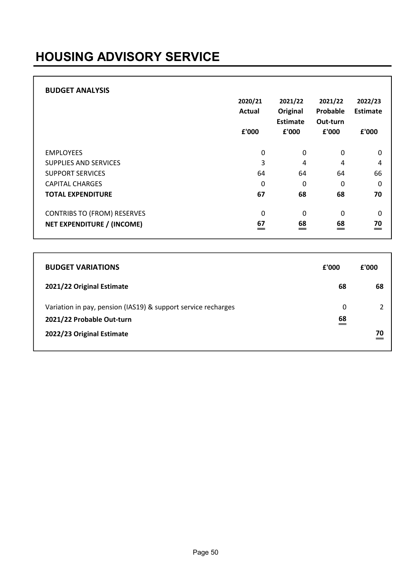# HOUSING ADVISORY SERVICE

| <b>BUDGET ANALYSIS</b>                                                  | 2020/21<br>Actual<br>£'000 | 2021/22<br>Original<br>Estimate<br>£'000 | 2021/22<br>Probable<br>Out-turn<br>£'000 | 2022/23<br>Estimate<br>£'000 |
|-------------------------------------------------------------------------|----------------------------|------------------------------------------|------------------------------------------|------------------------------|
| <b>EMPLOYEES</b>                                                        | 0                          | 0                                        | 0                                        | 0                            |
| <b>SUPPLIES AND SERVICES</b>                                            | 3                          | 4                                        | 4                                        | 4                            |
| <b>SUPPORT SERVICES</b>                                                 | 64                         | 64                                       | 64                                       | 66                           |
| <b>CAPITAL CHARGES</b>                                                  | $\Omega$                   | 0                                        | 0                                        | 0                            |
| <b>TOTAL EXPENDITURE</b>                                                | 67                         | 68                                       | 68                                       | 70                           |
| <b>CONTRIBS TO (FROM) RESERVES</b><br><b>NET EXPENDITURE / (INCOME)</b> | $\Omega$<br>67             | 0<br>68                                  | 0<br>68                                  | 0<br>70<br>=                 |

| <b>BUDGET VARIATIONS</b>                                                                   | £'000          | £'000 |
|--------------------------------------------------------------------------------------------|----------------|-------|
| 2021/22 Original Estimate                                                                  | 68             | 68    |
| Variation in pay, pension (IAS19) & support service recharges<br>2021/22 Probable Out-turn | 0<br>68<br>$=$ |       |
| 2022/23 Original Estimate                                                                  |                |       |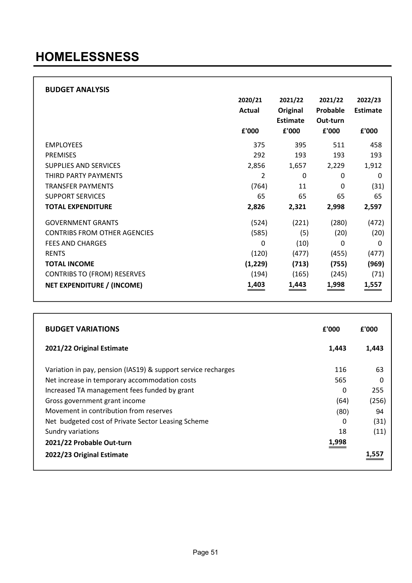#### HOMELESSNESS

| <b>BUDGET ANALYSIS</b>              |          |          |          |                 |
|-------------------------------------|----------|----------|----------|-----------------|
|                                     | 2020/21  | 2021/22  | 2021/22  | 2022/23         |
|                                     | Actual   | Original | Probable | <b>Estimate</b> |
|                                     |          | Estimate | Out-turn |                 |
|                                     | £'000    | £'000    | £'000    | £'000           |
| <b>EMPLOYEES</b>                    | 375      | 395      | 511      | 458             |
| <b>PREMISES</b>                     | 292      | 193      | 193      | 193             |
| <b>SUPPLIES AND SERVICES</b>        | 2,856    | 1,657    | 2,229    | 1,912           |
| THIRD PARTY PAYMENTS                | 2        | $\Omega$ | 0        | 0               |
| <b>TRANSFER PAYMENTS</b>            | (764)    | 11       | 0        | (31)            |
| <b>SUPPORT SERVICES</b>             | 65       | 65       | 65       | 65              |
| <b>TOTAL EXPENDITURE</b>            | 2,826    | 2,321    | 2,998    | 2,597           |
| <b>GOVERNMENT GRANTS</b>            | (524)    | (221)    | (280)    | (472)           |
| <b>CONTRIBS FROM OTHER AGENCIES</b> | (585)    | (5)      | (20)     | (20)            |
| <b>FEES AND CHARGES</b>             | 0        | (10)     | 0        | 0               |
| <b>RENTS</b>                        | (120)    | (477)    | (455)    | (477)           |
| <b>TOTAL INCOME</b>                 | (1, 229) | (713)    | (755)    | (969)           |
| <b>CONTRIBS TO (FROM) RESERVES</b>  | (194)    | (165)    | (245)    | (71)            |
| NET EXPENDITURE / (INCOME)          | 1,403    | 1,443    | 1,998    | 1,557           |

| <b>BUDGET VARIATIONS</b>                                      | £'000 | £'000    |
|---------------------------------------------------------------|-------|----------|
| 2021/22 Original Estimate                                     | 1.443 | 1,443    |
| Variation in pay, pension (IAS19) & support service recharges | 116   | 63       |
| Net increase in temporary accommodation costs                 | 565   | $\Omega$ |
| Increased TA management fees funded by grant                  | 0     | 255      |
| Gross government grant income                                 | (64)  | (256)    |
| Movement in contribution from reserves                        | (80)  | 94       |
| Net budgeted cost of Private Sector Leasing Scheme            | 0     | (31)     |
| Sundry variations                                             | 18    | (11)     |
| 2021/22 Probable Out-turn                                     | 1,998 |          |
| 2022/23 Original Estimate                                     |       |          |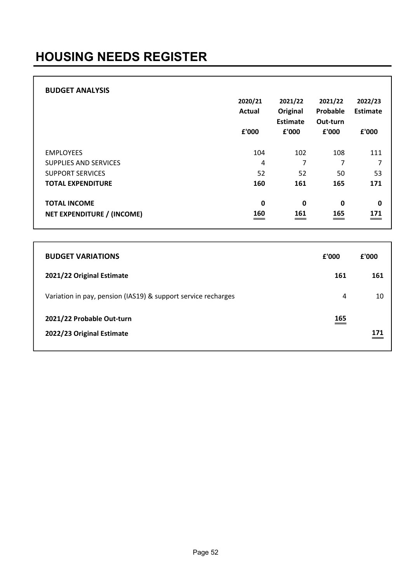| <b>BUDGET ANALYSIS</b>                            | 2020/21<br><b>Actual</b><br>£'000 | 2021/22<br>Original<br><b>Estimate</b><br>£'000 | 2021/22<br>Probable<br>Out-turn<br>£'000 | 2022/23<br><b>Estimate</b><br>£'000 |
|---------------------------------------------------|-----------------------------------|-------------------------------------------------|------------------------------------------|-------------------------------------|
| <b>EMPLOYEES</b>                                  | 104                               | 102                                             | 108                                      | 111                                 |
| <b>SUPPLIES AND SERVICES</b>                      | 4                                 | 7                                               | 7                                        | 7                                   |
| <b>SUPPORT SERVICES</b>                           | 52                                | 52                                              | 50                                       | 53                                  |
| <b>TOTAL EXPENDITURE</b>                          | 160                               | 161                                             | 165                                      | 171                                 |
| <b>TOTAL INCOME</b><br>NET EXPENDITURE / (INCOME) | $\mathbf 0$<br>160                | $\mathbf 0$<br>161                              | $\mathbf 0$<br>165                       | $\mathbf 0$<br>171                  |

| <b>BUDGET VARIATIONS</b>                                      | f'000       | f'000 |
|---------------------------------------------------------------|-------------|-------|
| 2021/22 Original Estimate                                     | 161         | 161   |
| Variation in pay, pension (IAS19) & support service recharges | 4           | 10    |
| 2021/22 Probable Out-turn<br>2022/23 Original Estimate        | 165<br>____ | 171   |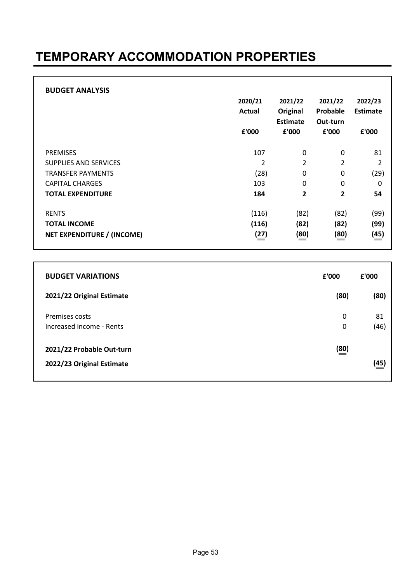#### TEMPORARY ACCOMMODATION PROPERTIES

|                                   | 2020/21<br>Actual<br>£'000 | 2021/22<br>Original<br>Estimate<br>£'000 | 2021/22<br>Probable<br>Out-turn<br>£'000 | 2022/23<br>Estimate<br>£'000 |
|-----------------------------------|----------------------------|------------------------------------------|------------------------------------------|------------------------------|
| <b>PREMISES</b>                   | 107                        | 0                                        | 0                                        | 81                           |
| <b>SUPPLIES AND SERVICES</b>      | $\overline{2}$             | $\overline{2}$                           | 2                                        | $\overline{2}$               |
| <b>TRANSFER PAYMENTS</b>          | (28)                       | 0                                        | 0                                        | (29)                         |
| <b>CAPITAL CHARGES</b>            | 103                        | 0                                        | 0                                        | 0                            |
| <b>TOTAL EXPENDITURE</b>          | 184                        | 2                                        | 2                                        | 54                           |
| <b>RENTS</b>                      | (116)                      | (82)                                     | (82)                                     | (99)                         |
| <b>TOTAL INCOME</b>               | (116)                      | (82)                                     | (82)                                     | (99)                         |
| <b>NET EXPENDITURE / (INCOME)</b> | $\stackrel{(27)}{=}$       | $\stackrel{(80)}{=}$                     | $\stackrel{(80)}{=}$                     | $\stackrel{(45)}{=}$         |

| <b>BUDGET VARIATIONS</b>                               | £'000                      | £'000      |
|--------------------------------------------------------|----------------------------|------------|
| 2021/22 Original Estimate                              | (80)                       | (80)       |
| Premises costs<br>Increased income - Rents             | 0<br>0                     | 81<br>(46) |
| 2021/22 Probable Out-turn<br>2022/23 Original Estimate | $\underline{\frac{80}{2}}$ | (45)       |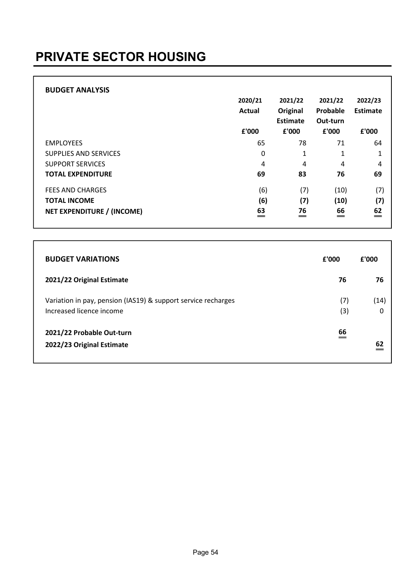# PRIVATE SECTOR HOUSING

| <b>BUDGET ANALYSIS</b>            | 2020/21<br><b>Actual</b> | 2021/22<br>Original<br>Estimate | 2021/22<br>Probable<br>Out-turn | 2022/23<br>Estimate |
|-----------------------------------|--------------------------|---------------------------------|---------------------------------|---------------------|
|                                   | £'000                    | £'000                           | £'000                           | £'000               |
| <b>EMPLOYEES</b>                  | 65                       | 78                              | 71                              | 64                  |
| SUPPLIES AND SERVICES             | 0                        | 1                               | 1                               | 1                   |
| <b>SUPPORT SERVICES</b>           | 4                        | 4                               | 4                               | 4                   |
| <b>TOTAL EXPENDITURE</b>          | 69                       | 83                              | 76                              | 69                  |
| <b>FEES AND CHARGES</b>           | (6)                      | (7)                             | (10)                            | (7)                 |
| <b>TOTAL INCOME</b>               | (6)                      | (7)                             | (10)                            | (7)                 |
| <b>NET EXPENDITURE / (INCOME)</b> | 63<br>$\qquad \qquad =$  | 76<br>$=$                       | 66<br>$\equiv$                  | 62<br>$=$           |

| <b>BUDGET VARIATIONS</b>                                                                  | £'000      | £'000     |
|-------------------------------------------------------------------------------------------|------------|-----------|
| 2021/22 Original Estimate                                                                 | 76         | 76        |
| Variation in pay, pension (IAS19) & support service recharges<br>Increased licence income | (7)<br>(3) | (14)<br>O |
| 2021/22 Probable Out-turn<br>2022/23 Original Estimate                                    | 66         |           |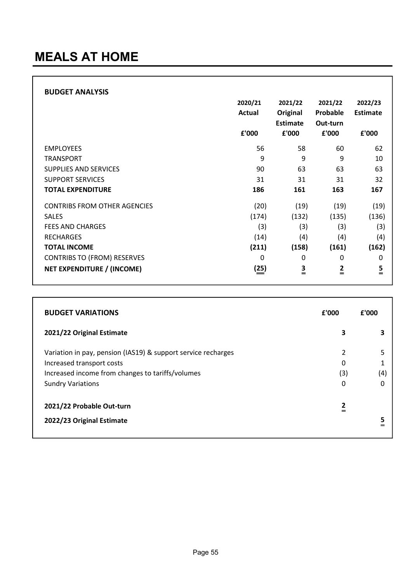| <b>BUDGET ANALYSIS</b>              |         |                 |               |                 |
|-------------------------------------|---------|-----------------|---------------|-----------------|
|                                     | 2020/21 | 2021/22         | 2021/22       | 2022/23         |
|                                     | Actual  | Original        | Probable      | <b>Estimate</b> |
|                                     |         | <b>Estimate</b> | Out-turn      |                 |
|                                     | £'000   | £'000           | £'000         | £'000           |
| <b>EMPLOYEES</b>                    | 56      | 58              | 60            | 62              |
| <b>TRANSPORT</b>                    | 9       | 9               | 9             | 10              |
| <b>SUPPLIES AND SERVICES</b>        | 90      | 63              | 63            | 63              |
| <b>SUPPORT SERVICES</b>             | 31      | 31              | 31            | 32              |
| <b>TOTAL EXPENDITURE</b>            | 186     | 161             | 163           | 167             |
| <b>CONTRIBS FROM OTHER AGENCIES</b> | (20)    | (19)            | (19)          | (19)            |
| <b>SALES</b>                        | (174)   | (132)           | (135)         | (136)           |
| <b>FEES AND CHARGES</b>             | (3)     | (3)             | (3)           | (3)             |
| <b>RECHARGES</b>                    | (14)    | (4)             | (4)           | (4)             |
| <b>TOTAL INCOME</b>                 | (211)   | (158)           | (161)         | (162)           |
| <b>CONTRIBS TO (FROM) RESERVES</b>  | 0       | 0               | 0             | 0               |
| <b>NET EXPENDITURE / (INCOME)</b>   | (25)    | $\frac{3}{5}$   | $\frac{2}{1}$ | $\frac{5}{1}$   |

| <b>BUDGET VARIATIONS</b>                                      | £'000                    | f'000 |
|---------------------------------------------------------------|--------------------------|-------|
| 2021/22 Original Estimate                                     | 3                        | 3     |
| Variation in pay, pension (IAS19) & support service recharges | $\overline{\phantom{a}}$ | 5     |
| Increased transport costs                                     | 0                        |       |
| Increased income from changes to tariffs/volumes              | (3)                      | (4)   |
| <b>Sundry Variations</b>                                      | 0                        | 0     |
| 2021/22 Probable Out-turn                                     | $\frac{2}{2}$            |       |
| 2022/23 Original Estimate                                     |                          | 5     |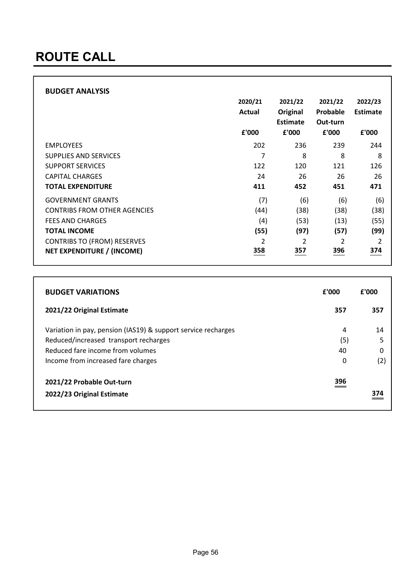| <b>BUDGET ANALYSIS</b>              | 2020/21<br>Actual<br>£'000 | 2021/22<br>Original<br>Estimate<br>£'000 | 2021/22<br>Probable<br>Out-turn<br>£'000 | 2022/23<br>Estimate<br>£'000 |
|-------------------------------------|----------------------------|------------------------------------------|------------------------------------------|------------------------------|
| <b>EMPLOYEES</b>                    | 202                        | 236                                      | 239                                      | 244                          |
| <b>SUPPLIES AND SERVICES</b>        | 7                          | 8                                        | 8                                        | 8                            |
| <b>SUPPORT SERVICES</b>             | 122                        | 120                                      | 121                                      | 126                          |
| <b>CAPITAL CHARGES</b>              | 24                         | 26                                       | 26                                       | 26                           |
| <b>TOTAL EXPENDITURE</b>            | 411                        | 452                                      | 451                                      | 471                          |
| <b>GOVERNMENT GRANTS</b>            | (7)                        | (6)                                      | (6)                                      | (6)                          |
| <b>CONTRIBS FROM OTHER AGENCIES</b> | (44)                       | (38)                                     | (38)                                     | (38)                         |
| <b>FEES AND CHARGES</b>             | (4)                        | (53)                                     | (13)                                     | (55)                         |
| <b>TOTAL INCOME</b>                 | (55)                       | (97)                                     | (57)                                     | (99)                         |
| <b>CONTRIBS TO (FROM) RESERVES</b>  | $\overline{\mathbf{c}}$    | $\mathfrak{p}$                           | $\overline{2}$                           | $\mathcal{P}$                |
| NET EXPENDITURE / (INCOME)          | 358                        | 357                                      | 396                                      | 374                          |

| <b>BUDGET VARIATIONS</b>                                      | £'000 | £'000 |
|---------------------------------------------------------------|-------|-------|
| 2021/22 Original Estimate                                     | 357   | 357   |
| Variation in pay, pension (IAS19) & support service recharges | 4     | 14    |
| Reduced/increased transport recharges                         | (5)   | 5     |
| Reduced fare income from volumes                              | 40    | 0     |
| Income from increased fare charges                            | 0     | (2)   |
| 2021/22 Probable Out-turn                                     | 396   |       |
| 2022/23 Original Estimate                                     |       | 374   |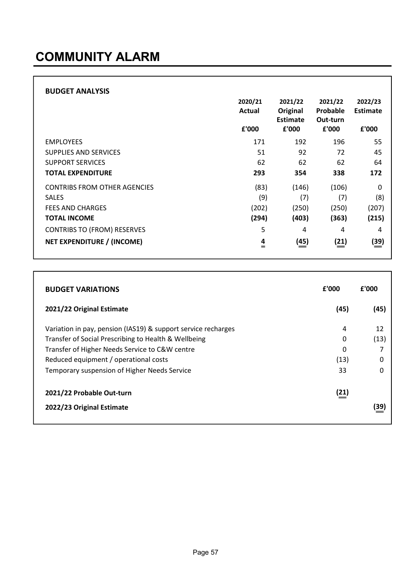| <b>BUDGET ANALYSIS</b>              | 2020/21<br>Actual<br>£'000 | 2021/22<br>Original<br>Estimate<br>£'000 | 2021/22<br>Probable<br>Out-turn<br>£'000 | 2022/23<br>Estimate<br>£'000 |
|-------------------------------------|----------------------------|------------------------------------------|------------------------------------------|------------------------------|
| <b>EMPLOYEES</b>                    | 171                        | 192                                      | 196                                      | 55                           |
| <b>SUPPLIES AND SERVICES</b>        | 51                         | 92                                       | 72                                       | 45                           |
| <b>SUPPORT SERVICES</b>             | 62                         | 62                                       | 62                                       | 64                           |
| <b>TOTAL EXPENDITURE</b>            | 293                        | 354                                      | 338                                      | 172                          |
| <b>CONTRIBS FROM OTHER AGENCIES</b> | (83)                       | (146)                                    | (106)                                    | 0                            |
| <b>SALES</b>                        | (9)                        | (7)                                      | (7)                                      | (8)                          |
| <b>FEES AND CHARGES</b>             | (202)                      | (250)                                    | (250)                                    | (207)                        |
| <b>TOTAL INCOME</b>                 | (294)                      | (403)                                    | (363)                                    | (215)                        |
| <b>CONTRIBS TO (FROM) RESERVES</b>  | 5                          | 4                                        | 4                                        | 4                            |
| NET EXPENDITURE / (INCOME)          | 4<br>$=$                   | $\stackrel{(45)}{=}$                     | (21)                                     | (39)                         |

| <b>BUDGET VARIATIONS</b>                                      | £'000 | £'000 |
|---------------------------------------------------------------|-------|-------|
| 2021/22 Original Estimate                                     | (45)  | (45)  |
| Variation in pay, pension (IAS19) & support service recharges | 4     | 12    |
| Transfer of Social Prescribing to Health & Wellbeing          | 0     | (13)  |
| Transfer of Higher Needs Service to C&W centre                | 0     | 7     |
| Reduced equipment / operational costs                         | (13)  | 0     |
| Temporary suspension of Higher Needs Service                  | 33    | 0     |
| 2021/22 Probable Out-turn                                     | (21)  |       |
| 2022/23 Original Estimate                                     |       | (39)  |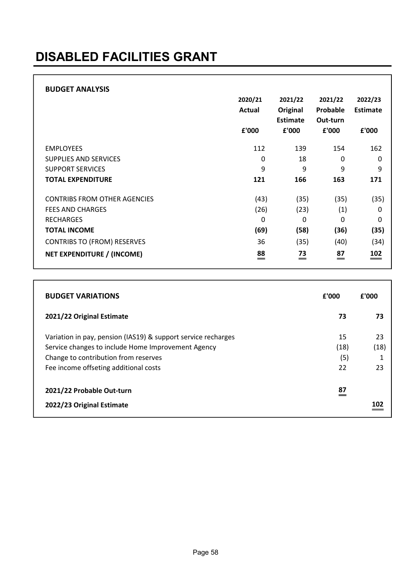# DISABLED FACILITIES GRANT

|                                     | 2020/21<br>Actual<br>£'000 | 2021/22<br>Original<br><b>Estimate</b><br>£'000 | 2021/22<br>Probable<br>Out-turn<br>£'000 | 2022/23<br>Estimate<br>£'000 |
|-------------------------------------|----------------------------|-------------------------------------------------|------------------------------------------|------------------------------|
| <b>EMPLOYEES</b>                    | 112                        | 139                                             | 154                                      | 162                          |
| SUPPLIES AND SERVICES               | 0                          | 18                                              | 0                                        | 0                            |
| <b>SUPPORT SERVICES</b>             | 9                          | 9                                               | 9                                        | 9                            |
| <b>TOTAL EXPENDITURE</b>            | 121                        | 166                                             | 163                                      | 171                          |
| <b>CONTRIBS FROM OTHER AGENCIES</b> | (43)                       | (35)                                            | (35)                                     | (35)                         |
| <b>FEES AND CHARGES</b>             | (26)                       | (23)                                            | (1)                                      | 0                            |
| <b>RECHARGES</b>                    | 0                          | 0                                               | 0                                        | $\Omega$                     |
| <b>TOTAL INCOME</b>                 | (69)                       | (58)                                            | (36)                                     | (35)                         |
| <b>CONTRIBS TO (FROM) RESERVES</b>  | 36                         | (35)                                            | (40)                                     | (34)                         |
| NET EXPENDITURE / (INCOME)          | 88<br>$\equiv$             | 73<br>$=$                                       | 87<br>$=$                                | 102<br>$=$                   |

| <b>BUDGET VARIATIONS</b>                                                                                                                                                                             | £'000                   | £'000                 |
|------------------------------------------------------------------------------------------------------------------------------------------------------------------------------------------------------|-------------------------|-----------------------|
| 2021/22 Original Estimate                                                                                                                                                                            | 73                      | 73                    |
| Variation in pay, pension (IAS19) & support service recharges<br>Service changes to include Home Improvement Agency<br>Change to contribution from reserves<br>Fee income offseting additional costs | 15<br>(18)<br>(5)<br>22 | 23<br>(18)<br>1<br>23 |
| 2021/22 Probable Out-turn<br>2022/23 Original Estimate                                                                                                                                               | 87                      | 102                   |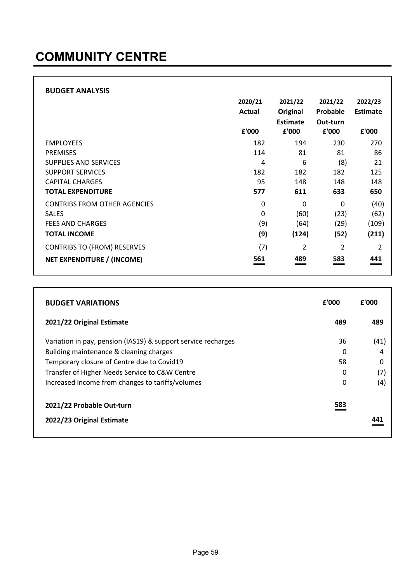| <b>BUDGET ANALYSIS</b>              | 2020/21<br>Actual<br>£'000 | 2021/22<br>Original<br><b>Estimate</b><br>£'000 | 2021/22<br>Probable<br>Out-turn<br>£'000 | 2022/23<br>Estimate<br>£'000 |
|-------------------------------------|----------------------------|-------------------------------------------------|------------------------------------------|------------------------------|
| <b>EMPLOYEES</b>                    | 182                        | 194                                             | 230                                      | 270                          |
| <b>PREMISES</b>                     | 114                        | 81                                              | 81                                       | 86                           |
| <b>SUPPLIES AND SERVICES</b>        | 4                          | 6                                               | (8)                                      | 21                           |
| <b>SUPPORT SERVICES</b>             | 182                        | 182                                             | 182                                      | 125                          |
| <b>CAPITAL CHARGES</b>              | 95                         | 148                                             | 148                                      | 148                          |
| <b>TOTAL EXPENDITURE</b>            | 577                        | 611                                             | 633                                      | 650                          |
| <b>CONTRIBS FROM OTHER AGENCIES</b> | 0                          | $\Omega$                                        | $\Omega$                                 | (40)                         |
| <b>SALES</b>                        | 0                          | (60)                                            | (23)                                     | (62)                         |
| <b>FEES AND CHARGES</b>             | (9)                        | (64)                                            | (29)                                     | (109)                        |
| <b>TOTAL INCOME</b>                 | (9)                        | (124)                                           | (52)                                     | (211)                        |
| <b>CONTRIBS TO (FROM) RESERVES</b>  | (7)                        | 2                                               | 2                                        | 2                            |
| <b>NET EXPENDITURE / (INCOME)</b>   | 561                        | 489                                             | 583                                      | 441                          |

| <b>BUDGET VARIATIONS</b>                                      | £'000 | £'000 |
|---------------------------------------------------------------|-------|-------|
| 2021/22 Original Estimate                                     | 489   | 489   |
| Variation in pay, pension (IAS19) & support service recharges | 36    | (41)  |
| Building maintenance & cleaning charges                       | 0     |       |
| Temporary closure of Centre due to Covid19                    | 58    |       |
| Transfer of Higher Needs Service to C&W Centre                | 0     | '7    |
| Increased income from changes to tariffs/volumes              | 0     | (4)   |
| 2021/22 Probable Out-turn                                     | 583   |       |
| 2022/23 Original Estimate                                     |       |       |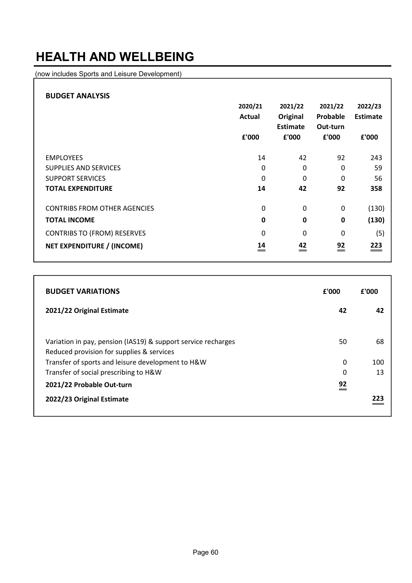#### HEALTH AND WELLBEING

(now includes Sports and Leisure Development)

| <b>BUDGET ANALYSIS</b>              |         |             |          |          |
|-------------------------------------|---------|-------------|----------|----------|
|                                     | 2020/21 | 2021/22     | 2021/22  | 2022/23  |
|                                     | Actual  | Original    | Probable | Estimate |
|                                     |         | Estimate    | Out-turn |          |
|                                     | £'000   | £'000       | £'000    | £'000    |
| <b>EMPLOYEES</b>                    | 14      | 42          | 92       | 243      |
|                                     |         |             |          |          |
| SUPPLIES AND SERVICES               | 0       | $\Omega$    | 0        | 59       |
| <b>SUPPORT SERVICES</b>             | 0       | $\Omega$    | 0        | 56       |
| <b>TOTAL EXPENDITURE</b>            | 14      | 42          | 92       | 358      |
| <b>CONTRIBS FROM OTHER AGENCIES</b> | 0       | 0           | 0        | (130)    |
| <b>TOTAL INCOME</b>                 | 0       | $\mathbf 0$ | 0        | (130)    |
| <b>CONTRIBS TO (FROM) RESERVES</b>  | 0       | $\Omega$    | 0        | (5)      |
| NET EXPENDITURE / (INCOME)          | 14      | 42          | 92       | 223      |

| <b>BUDGET VARIATIONS</b>                                                                                   | £'000 | f'000 |
|------------------------------------------------------------------------------------------------------------|-------|-------|
| 2021/22 Original Estimate                                                                                  | 42    | 42    |
| Variation in pay, pension (IAS19) & support service recharges<br>Reduced provision for supplies & services | 50    | 68    |
| Transfer of sports and leisure development to H&W                                                          | 0     | 100   |
| Transfer of social prescribing to H&W                                                                      | 0     | 13    |
| 2021/22 Probable Out-turn                                                                                  | 92    |       |
| 2022/23 Original Estimate                                                                                  |       | 223   |

٦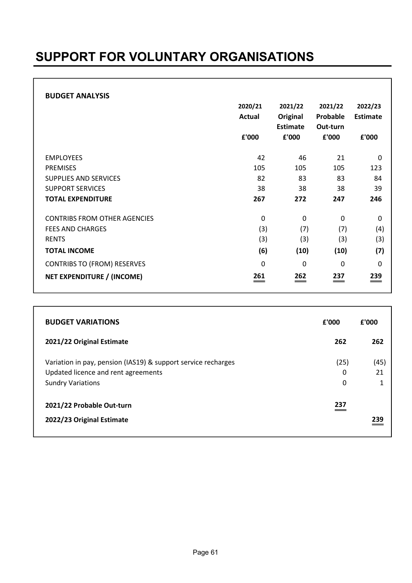### SUPPORT FOR VOLUNTARY ORGANISATIONS

#### BUDGET ANALYSIS

|                                     | 2020/21<br>Actual<br>£'000 | 2021/22<br>Original<br><b>Estimate</b><br>£'000 | 2021/22<br>Probable<br>Out-turn<br>£'000 | 2022/23<br><b>Estimate</b><br>£'000 |
|-------------------------------------|----------------------------|-------------------------------------------------|------------------------------------------|-------------------------------------|
|                                     |                            |                                                 |                                          |                                     |
| <b>EMPLOYEES</b>                    | 42                         | 46                                              | 21                                       | 0                                   |
| <b>PREMISES</b>                     | 105                        | 105                                             | 105                                      | 123                                 |
| SUPPLIES AND SERVICES               | 82                         | 83                                              | 83                                       | 84                                  |
| <b>SUPPORT SERVICES</b>             | 38                         | 38                                              | 38                                       | 39                                  |
| <b>TOTAL EXPENDITURE</b>            | 267                        | 272                                             | 247                                      | 246                                 |
| <b>CONTRIBS FROM OTHER AGENCIES</b> | 0                          | 0                                               | 0                                        | 0                                   |
| <b>FEES AND CHARGES</b>             | (3)                        | (7)                                             | (7)                                      | (4)                                 |
| <b>RENTS</b>                        | (3)                        | (3)                                             | (3)                                      | (3)                                 |
| <b>TOTAL INCOME</b>                 | (6)                        | (10)                                            | (10)                                     | (7)                                 |
| <b>CONTRIBS TO (FROM) RESERVES</b>  | 0                          | $\Omega$                                        | $\mathbf{0}$                             | $\Omega$                            |
| NET EXPENDITURE / (INCOME)          | 261                        | 262                                             | 237                                      | 239<br>=                            |

| <b>BUDGET VARIATIONS</b>                                      | £'000 | £'000 |
|---------------------------------------------------------------|-------|-------|
| 2021/22 Original Estimate                                     | 262   | 262   |
| Variation in pay, pension (IAS19) & support service recharges | (25)  | (45)  |
| Updated licence and rent agreements                           | 0     | 21    |
| <b>Sundry Variations</b>                                      | 0     | 1     |
| 2021/22 Probable Out-turn                                     | 237   |       |
| 2022/23 Original Estimate                                     |       | 239   |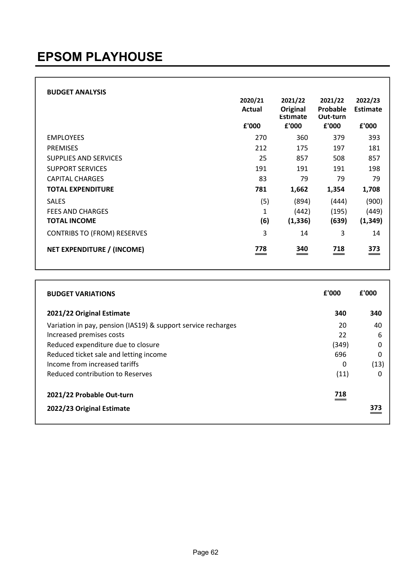| <b>BUDGET ANALYSIS</b>             | 2020/21<br>Actual | 2021/22<br>Original<br>Estimate | 2021/22<br>Probable<br>Out-turn | 2022/23<br>Estimate |
|------------------------------------|-------------------|---------------------------------|---------------------------------|---------------------|
|                                    | £'000             | £'000                           | £'000                           | £'000               |
| <b>EMPLOYEES</b>                   | 270               | 360                             | 379                             | 393                 |
| <b>PREMISES</b>                    | 212               | 175                             | 197                             | 181                 |
| SUPPLIES AND SERVICES              | 25                | 857                             | 508                             | 857                 |
| <b>SUPPORT SERVICES</b>            | 191               | 191                             | 191                             | 198                 |
| <b>CAPITAL CHARGES</b>             | 83                | 79                              | 79                              | 79                  |
| <b>TOTAL EXPENDITURE</b>           | 781               | 1,662                           | 1,354                           | 1,708               |
| <b>SALES</b>                       | (5)               | (894)                           | (444)                           | (900)               |
| <b>FEES AND CHARGES</b>            | 1                 | (442)                           | (195)                           | (449)               |
| <b>TOTAL INCOME</b>                | (6)               | (1, 336)                        | (639)                           | (1, 349)            |
| <b>CONTRIBS TO (FROM) RESERVES</b> | 3                 | 14                              | 3                               | 14                  |
| NET EXPENDITURE / (INCOME)         | 778               | 340                             | 718                             | 373                 |

| <b>BUDGET VARIATIONS</b>                                      | £'000 | £'000 |
|---------------------------------------------------------------|-------|-------|
| 2021/22 Original Estimate                                     | 340   | 340   |
| Variation in pay, pension (IAS19) & support service recharges | 20    | 40    |
| Increased premises costs                                      | 22    | 6     |
| Reduced expenditure due to closure                            | (349) | 0     |
| Reduced ticket sale and letting income                        | 696   | 0     |
| Income from increased tariffs                                 | 0     | (13)  |
| Reduced contribution to Reserves                              | (11)  | O     |
| 2021/22 Probable Out-turn                                     | 718   |       |
| 2022/23 Original Estimate                                     |       |       |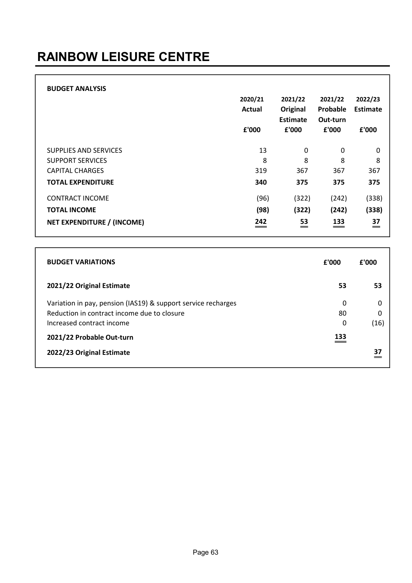# RAINBOW LEISURE CENTRE

| <b>BUDGET ANALYSIS</b>            | 2020/21<br>Actual<br>£'000 | 2021/22<br>Original<br>Estimate<br>£'000 | 2021/22<br>Probable<br>Out-turn<br>£'000 | 2022/23<br>Estimate<br>£'000 |
|-----------------------------------|----------------------------|------------------------------------------|------------------------------------------|------------------------------|
| SUPPLIES AND SERVICES             | 13                         | 0                                        | 0                                        | $\mathbf 0$                  |
| <b>SUPPORT SERVICES</b>           | 8                          | 8                                        | 8                                        | 8                            |
| <b>CAPITAL CHARGES</b>            | 319                        | 367                                      | 367                                      | 367                          |
| <b>TOTAL EXPENDITURE</b>          | 340                        | 375                                      | 375                                      | 375                          |
| <b>CONTRACT INCOME</b>            | (96)                       | (322)                                    | (242)                                    | (338)                        |
| <b>TOTAL INCOME</b>               | (98)                       | (322)                                    | (242)                                    | (338)                        |
| <b>NET EXPENDITURE / (INCOME)</b> | 242                        | 53<br>—                                  | 133                                      | 37<br>$=$                    |

| <b>BUDGET VARIATIONS</b>                                                                                                                  | £'000        | £'000                 |
|-------------------------------------------------------------------------------------------------------------------------------------------|--------------|-----------------------|
| 2021/22 Original Estimate                                                                                                                 | 53           | 53                    |
| Variation in pay, pension (IAS19) & support service recharges<br>Reduction in contract income due to closure<br>Increased contract income | 0<br>80<br>0 | $\Omega$<br>0<br>(16) |
| 2021/22 Probable Out-turn<br>2022/23 Original Estimate                                                                                    | 133          | 37                    |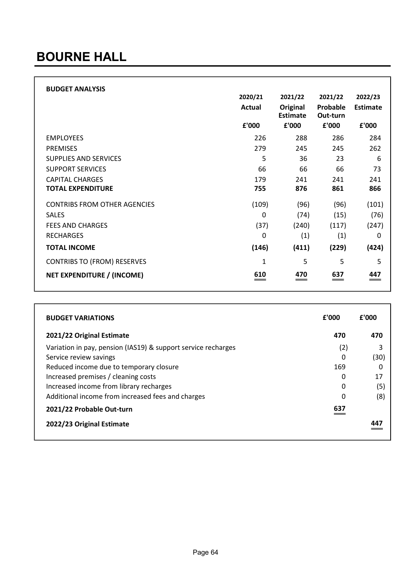#### BOURNE HALL

| <b>BUDGET ANALYSIS</b>              | 2020/21 | 2021/22                     | 2021/22              | 2022/23    |
|-------------------------------------|---------|-----------------------------|----------------------|------------|
|                                     | Actual  | Original<br><b>Estimate</b> | Probable<br>Out-turn | Estimate   |
|                                     | £'000   | £'000                       | £'000                | £'000      |
| <b>EMPLOYEES</b>                    | 226     | 288                         | 286                  | 284        |
| <b>PREMISES</b>                     | 279     | 245                         | 245                  | 262        |
| <b>SUPPLIES AND SERVICES</b>        | 5       | 36                          | 23                   | 6          |
| <b>SUPPORT SERVICES</b>             | 66      | 66                          | 66                   | 73         |
| <b>CAPITAL CHARGES</b>              | 179     | 241                         | 241                  | 241        |
| <b>TOTAL EXPENDITURE</b>            | 755     | 876                         | 861                  | 866        |
| <b>CONTRIBS FROM OTHER AGENCIES</b> | (109)   | (96)                        | (96)                 | (101)      |
| <b>SALES</b>                        | 0       | (74)                        | (15)                 | (76)       |
| <b>FEES AND CHARGES</b>             | (37)    | (240)                       | (117)                | (247)      |
| <b>RECHARGES</b>                    | 0       | (1)                         | (1)                  | 0          |
| <b>TOTAL INCOME</b>                 | (146)   | (411)                       | (229)                | (424)      |
| <b>CONTRIBS TO (FROM) RESERVES</b>  | 1       | 5                           | 5                    | 5          |
| NET EXPENDITURE / (INCOME)          | 610     | 470                         | 637                  | 447<br>$=$ |

| <b>BUDGET VARIATIONS</b>                                      | £'000 | £'000 |
|---------------------------------------------------------------|-------|-------|
| 2021/22 Original Estimate                                     | 470   | 470   |
| Variation in pay, pension (IAS19) & support service recharges | (2)   |       |
| Service review savings                                        | 0     | (30)  |
| Reduced income due to temporary closure                       | 169   |       |
| Increased premises / cleaning costs                           | 0     | 17    |
| Increased income from library recharges                       | 0     | (5)   |
| Additional income from increased fees and charges             | 0     | (8)   |
| 2021/22 Probable Out-turn                                     | 637   |       |
| 2022/23 Original Estimate                                     |       |       |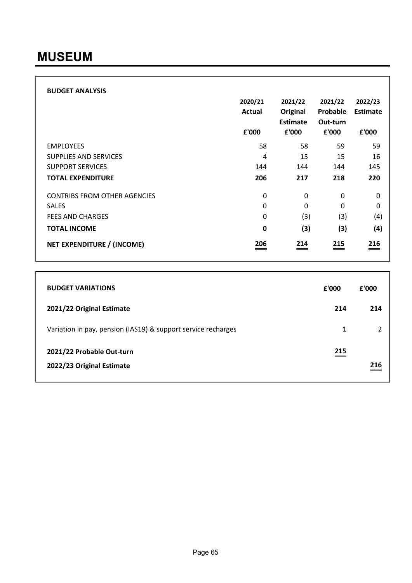| <b>BUDGET ANALYSIS</b>              | 2020/21<br>Actual<br>£'000 | 2021/22<br>Original<br><b>Estimate</b><br>£'000 | 2021/22<br>Probable<br>Out-turn<br>£'000 | 2022/23<br>Estimate<br>£'000 |
|-------------------------------------|----------------------------|-------------------------------------------------|------------------------------------------|------------------------------|
| <b>EMPLOYEES</b>                    | 58                         | 58                                              | 59                                       | 59                           |
| <b>SUPPLIES AND SERVICES</b>        | 4                          | 15                                              | 15                                       | 16                           |
| <b>SUPPORT SERVICES</b>             | 144                        | 144                                             | 144                                      | 145                          |
| <b>TOTAL EXPENDITURE</b>            | 206                        | 217                                             | 218                                      | 220                          |
| <b>CONTRIBS FROM OTHER AGENCIES</b> | 0                          | 0                                               | 0                                        | 0                            |
| <b>SALES</b>                        | 0                          | 0                                               | 0                                        | 0                            |
| <b>FEES AND CHARGES</b>             | 0                          | (3)                                             | (3)                                      | (4)                          |
| <b>TOTAL INCOME</b>                 | 0                          | (3)                                             | (3)                                      | (4)                          |
| NET EXPENDITURE / (INCOME)          | 206                        | 214                                             | 215                                      | 216<br>$\hspace{0.05cm} =$   |

| <b>BUDGET VARIATIONS</b>                                      | £'000 | f'000 |
|---------------------------------------------------------------|-------|-------|
| 2021/22 Original Estimate                                     | 214   | 214   |
| Variation in pay, pension (IAS19) & support service recharges | 1     |       |
| 2021/22 Probable Out-turn<br>2022/23 Original Estimate        | 215   | 216   |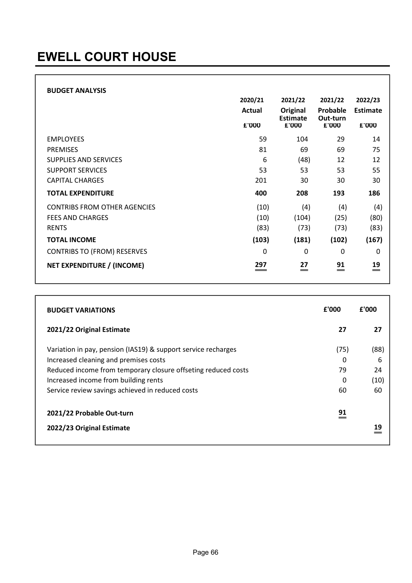#### BUDGET ANALYSIS

|                                     | 2020/21<br><b>Actual</b> | 2021/22<br>Original<br>Estimate | 2021/22<br>Probable<br>Out-turn | 2022/23<br><b>Estimate</b> |
|-------------------------------------|--------------------------|---------------------------------|---------------------------------|----------------------------|
|                                     | £'000                    | £'000                           | £'000                           | £'000                      |
| <b>EMPLOYEES</b>                    | 59                       | 104                             | 29                              | 14                         |
| <b>PREMISES</b>                     | 81                       | 69                              | 69                              | 75                         |
| SUPPLIES AND SERVICES               | 6                        | (48)                            | 12                              | 12                         |
| <b>SUPPORT SERVICES</b>             | 53                       | 53                              | 53                              | 55                         |
| <b>CAPITAL CHARGES</b>              | 201                      | 30                              | 30                              | 30                         |
| <b>TOTAL EXPENDITURE</b>            | 400                      | 208                             | 193                             | 186                        |
| <b>CONTRIBS FROM OTHER AGENCIES</b> | (10)                     | (4)                             | (4)                             | (4)                        |
| <b>FEES AND CHARGES</b>             | (10)                     | (104)                           | (25)                            | (80)                       |
| <b>RENTS</b>                        | (83)                     | (73)                            | (73)                            | (83)                       |
| <b>TOTAL INCOME</b>                 | (103)                    | (181)                           | (102)                           | (167)                      |
| <b>CONTRIBS TO (FROM) RESERVES</b>  | 0                        | $\mathbf 0$                     | 0                               | 0                          |
| NET EXPENDITURE / (INCOME)          | 297                      | 27<br>=                         | $\overset{91}{=}$               | $\stackrel{19}{=}$         |

| <b>BUDGET VARIATIONS</b>                                                                                                                                                                                                                                            | £'000                      | £'000                         |
|---------------------------------------------------------------------------------------------------------------------------------------------------------------------------------------------------------------------------------------------------------------------|----------------------------|-------------------------------|
| 2021/22 Original Estimate                                                                                                                                                                                                                                           | 27                         | 27                            |
| Variation in pay, pension (IAS19) & support service recharges<br>Increased cleaning and premises costs<br>Reduced income from temporary closure offseting reduced costs<br>Increased income from building rents<br>Service review savings achieved in reduced costs | (75)<br>0<br>79<br>0<br>60 | (88)<br>6<br>24<br>(10)<br>60 |
| 2021/22 Probable Out-turn<br>2022/23 Original Estimate                                                                                                                                                                                                              | 91                         | 19                            |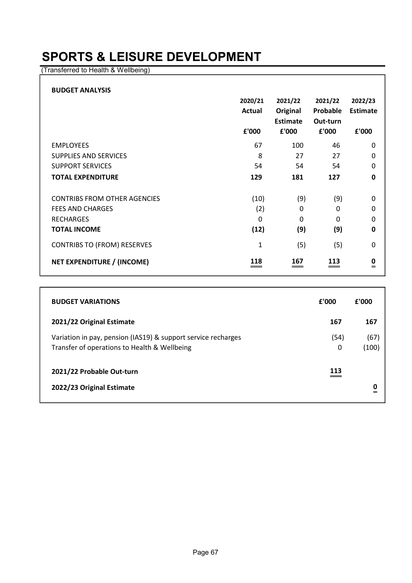#### SPORTS & LEISURE DEVELOPMENT

(Transferred to Health & Wellbeing)

| <b>BUDGET ANALYSIS</b>              |         |              |          |                 |
|-------------------------------------|---------|--------------|----------|-----------------|
|                                     | 2020/21 | 2021/22      | 2021/22  | 2022/23         |
|                                     | Actual  | Original     | Probable | <b>Estimate</b> |
|                                     |         | Estimate     | Out-turn |                 |
|                                     | £'000   | £'000        | £'000    | £'000           |
| <b>EMPLOYEES</b>                    | 67      | 100          | 46       | 0               |
| <b>SUPPLIES AND SERVICES</b>        | 8       | 27           | 27       | 0               |
| <b>SUPPORT SERVICES</b>             | 54      | 54           | 54       | 0               |
| <b>TOTAL EXPENDITURE</b>            | 129     | 181          | 127      | 0               |
| <b>CONTRIBS FROM OTHER AGENCIES</b> | (10)    | (9)          | (9)      | 0               |
| <b>FEES AND CHARGES</b>             | (2)     | $\mathbf{0}$ | 0        | 0               |
| <b>RECHARGES</b>                    | 0       | $\mathbf{0}$ | 0        | 0               |
| <b>TOTAL INCOME</b>                 | (12)    | (9)          | (9)      | 0               |
| <b>CONTRIBS TO (FROM) RESERVES</b>  | 1       | (5)          | (5)      | 0               |
| <b>NET EXPENDITURE / (INCOME)</b>   | 118     | 167          | 113      | 0<br>$=$        |

| <b>BUDGET VARIATIONS</b>                                                                                      | £'000     | £'000         |
|---------------------------------------------------------------------------------------------------------------|-----------|---------------|
| 2021/22 Original Estimate                                                                                     | 167       | 167           |
| Variation in pay, pension (IAS19) & support service recharges<br>Transfer of operations to Health & Wellbeing | (54)<br>0 | (67)<br>(100) |
| 2021/22 Probable Out-turn<br>2022/23 Original Estimate                                                        | 113       | 0<br>$=$      |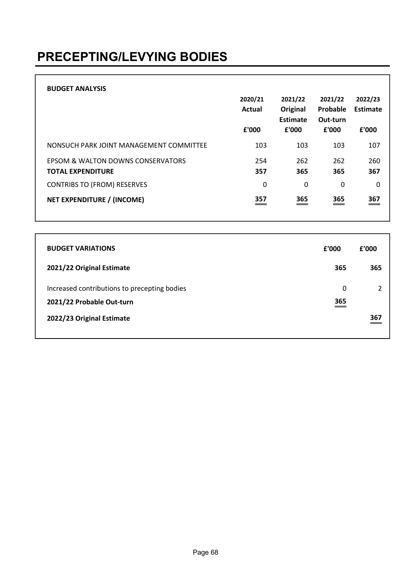### PRECEPTING/LEVYING BODIES

| <b>BUDGET ANALYSIS</b>                                        | 2020/21<br><b>Actual</b><br>£'000 | 2021/22<br>Original<br>Estimate<br>£'000 | 2021/22<br>Probable<br>Out-turn<br>£'000 | 2022/23<br>Estimate<br>£'000 |
|---------------------------------------------------------------|-----------------------------------|------------------------------------------|------------------------------------------|------------------------------|
| NONSUCH PARK JOINT MANAGEMENT COMMITTEE                       | 103                               | 103                                      | 103                                      | 107                          |
| EPSOM & WALTON DOWNS CONSERVATORS<br><b>TOTAL EXPENDITURE</b> | 254<br>357                        | 262<br>365                               | 262<br>365                               | 260<br>367                   |
| <b>CONTRIBS TO (FROM) RESERVES</b>                            | 0                                 | 0                                        | 0                                        | 0                            |
| NET EXPENDITURE / (INCOME)                                    | 357                               | 365                                      | 365                                      | 367<br>__                    |

| <b>BUDGET VARIATIONS</b>                                                  | £'000            | £'000          |
|---------------------------------------------------------------------------|------------------|----------------|
| 2021/22 Original Estimate                                                 | 365              | 365            |
| Increased contributions to precepting bodies<br>2021/22 Probable Out-turn | 0<br>365<br>$ -$ | $\mathfrak{p}$ |
| 2022/23 Original Estimate                                                 |                  | 367            |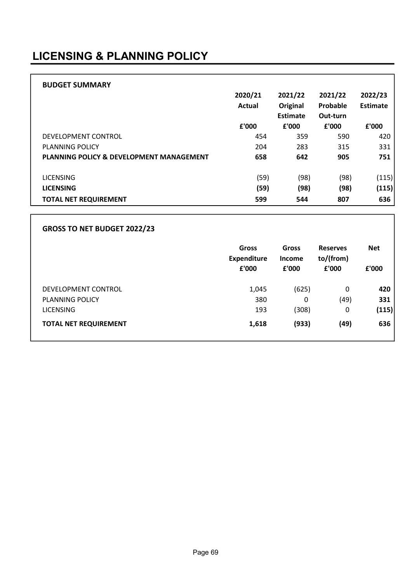#### LICENSING & PLANNING POLICY

| <b>BUDGET SUMMARY</b>                               | 2020/21 | 2021/22           | 2021/22           | 2022/23  |
|-----------------------------------------------------|---------|-------------------|-------------------|----------|
|                                                     | Actual  | Original          | Probable          | Estimate |
|                                                     | £'000   | Estimate<br>£'000 | Out-turn<br>£'000 | £'000    |
| DEVELOPMENT CONTROL                                 | 454     | 359               | 590               | 420      |
| <b>PLANNING POLICY</b>                              | 204     | 283               | 315               | 331      |
| <b>PLANNING POLICY &amp; DEVELOPMENT MANAGEMENT</b> | 658     | 642               | 905               | 751      |
| <b>LICENSING</b>                                    | (59)    | (98)              | (98)              | (115)    |
| <b>LICENSING</b>                                    | (59)    | (98)              | (98)              | (115)    |
| <b>TOTAL NET REQUIREMENT</b>                        | 599     | 544               | 807               | 636      |

#### GROSS TO NET BUDGET 2022/23

|                              | <b>Gross</b><br><b>Expenditure</b><br>£'000 | <b>Gross</b><br><b>Income</b><br>£'000 | <b>Reserves</b><br>to/(from)<br>£'000 | <b>Net</b><br>£'000 |
|------------------------------|---------------------------------------------|----------------------------------------|---------------------------------------|---------------------|
| DEVELOPMENT CONTROL          | 1,045                                       | (625)                                  | 0                                     | 420                 |
| PLANNING POLICY              | 380                                         | 0                                      | (49)                                  | 331                 |
| <b>LICENSING</b>             | 193                                         | (308)                                  | 0                                     | (115)               |
| <b>TOTAL NET REQUIREMENT</b> | 1,618                                       | (933)                                  | (49)                                  | 636                 |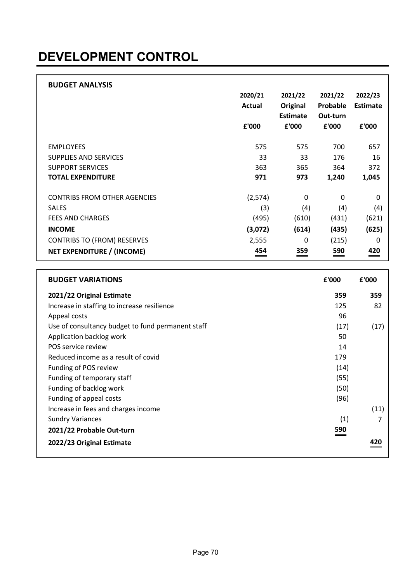# DEVELOPMENT CONTROL

| <b>BUDGET ANALYSIS</b>              |                                 |                                 |                            |                 |
|-------------------------------------|---------------------------------|---------------------------------|----------------------------|-----------------|
|                                     | 2020/21                         | 2021/22                         | 2021/22                    | 2022/23         |
|                                     | Actual                          | Original                        | Probable                   | <b>Estimate</b> |
|                                     |                                 | Estimate                        | Out-turn                   |                 |
|                                     | £'000                           | £'000                           | £'000                      | £'000           |
|                                     |                                 |                                 |                            |                 |
| <b>EMPLOYEES</b>                    | 575                             | 575                             | 700                        | 657             |
| <b>SUPPLIES AND SERVICES</b>        | 33                              | 33                              | 176                        | 16              |
| <b>SUPPORT SERVICES</b>             | 363                             | 365                             | 364                        | 372             |
| <b>TOTAL EXPENDITURE</b>            | 971                             | 973                             | 1,240                      | 1,045           |
|                                     |                                 |                                 |                            |                 |
| <b>CONTRIBS FROM OTHER AGENCIES</b> | (2,574)                         | 0                               | 0                          | 0               |
| <b>SALES</b>                        | (3)                             | (4)                             | (4)                        | (4)             |
| <b>FEES AND CHARGES</b>             | (495)                           | (610)                           | (431)                      | (621)           |
| <b>INCOME</b>                       | (3,072)                         | (614)                           | (435)                      | (625)           |
| <b>CONTRIBS TO (FROM) RESERVES</b>  | 2,555                           | 0                               | (215)                      | 0               |
| NET EXPENDITURE / (INCOME)          | 454<br>$\qquad \qquad \qquad =$ | 359<br>$\overline{\phantom{a}}$ | 590<br>$\hspace{0.05cm} =$ | 420<br>$=$      |

| <b>BUDGET VARIATIONS</b>                          | £'000 | £'000 |
|---------------------------------------------------|-------|-------|
| 2021/22 Original Estimate                         | 359   | 359   |
| Increase in staffing to increase resilience       | 125   | 82    |
| Appeal costs                                      | 96    |       |
| Use of consultancy budget to fund permanent staff | (17)  | (17)  |
| Application backlog work                          | 50    |       |
| POS service review                                | 14    |       |
| Reduced income as a result of covid               | 179   |       |
| Funding of POS review                             | (14)  |       |
| Funding of temporary staff                        | (55)  |       |
| Funding of backlog work                           | (50)  |       |
| Funding of appeal costs                           | (96)  |       |
| Increase in fees and charges income               |       | (11)  |
| <b>Sundry Variances</b>                           | (1)   |       |
| 2021/22 Probable Out-turn                         | 590   |       |
| 2022/23 Original Estimate                         |       |       |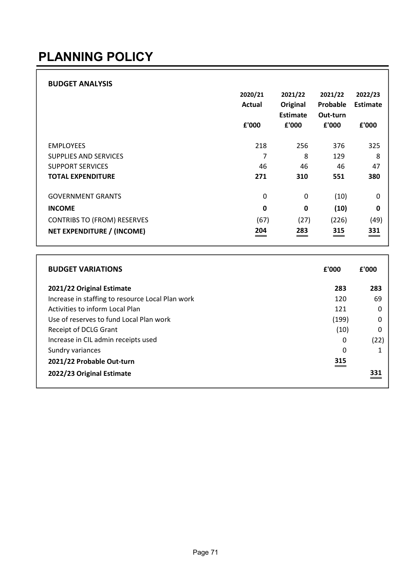#### PLANNING POLICY

#### BUDGET ANALYSIS

|                                    | 2020/21<br><b>Actual</b><br>£'000 | 2021/22<br>Original<br><b>Estimate</b><br>£'000 | 2021/22<br>Probable<br>Out-turn<br>£'000 | 2022/23<br><b>Estimate</b><br>£'000 |
|------------------------------------|-----------------------------------|-------------------------------------------------|------------------------------------------|-------------------------------------|
| <b>EMPLOYEES</b>                   | 218                               | 256                                             | 376                                      | 325                                 |
| SUPPLIES AND SERVICES              | 7                                 | 8                                               | 129                                      | 8                                   |
| <b>SUPPORT SERVICES</b>            | 46                                | 46                                              | 46                                       | 47                                  |
| <b>TOTAL EXPENDITURE</b>           | 271                               | 310                                             | 551                                      | 380                                 |
|                                    |                                   |                                                 |                                          |                                     |
| <b>GOVERNMENT GRANTS</b>           | 0                                 | 0                                               | (10)                                     | 0                                   |
| <b>INCOME</b>                      | 0                                 | $\mathbf 0$                                     | (10)                                     | 0                                   |
| <b>CONTRIBS TO (FROM) RESERVES</b> | (67)                              | (27)                                            | (226)                                    | (49)                                |
| NET EXPENDITURE / (INCOME)         | 204                               | 283                                             | 315                                      | 331                                 |

| <b>BUDGET VARIATIONS</b>                         | £'000 | £'000 |
|--------------------------------------------------|-------|-------|
| 2021/22 Original Estimate                        | 283   | 283   |
| Increase in staffing to resource Local Plan work | 120   | 69    |
| Activities to inform Local Plan                  | 121   | O     |
| Use of reserves to fund Local Plan work          | (199) | O     |
| Receipt of DCLG Grant                            | (10)  | 0     |
| Increase in CIL admin receipts used              | 0     | (22)  |
| Sundry variances                                 | 0     |       |
| 2021/22 Probable Out-turn                        | 315   |       |
| 2022/23 Original Estimate                        |       | 331   |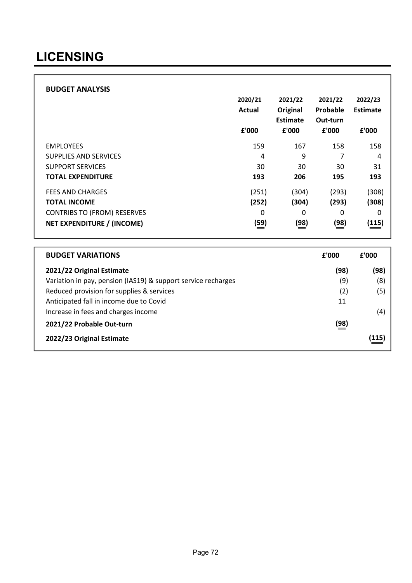#### LICENSING

#### BUDGET ANALYSIS

|                                    | 2020/21<br>Actual<br>£'000 | 2021/22<br>Original<br>Estimate<br>£'000 | 2021/22<br>Probable<br>Out-turn<br>£'000 | 2022/23<br><b>Estimate</b><br>£'000 |
|------------------------------------|----------------------------|------------------------------------------|------------------------------------------|-------------------------------------|
| <b>EMPLOYEES</b>                   | 159                        | 167                                      | 158                                      | 158                                 |
| <b>SUPPLIES AND SERVICES</b>       | 4                          | 9                                        | 7                                        | 4                                   |
| <b>SUPPORT SERVICES</b>            | 30                         | 30                                       | 30                                       | 31                                  |
| <b>TOTAL EXPENDITURE</b>           | 193                        | 206                                      | 195                                      | 193                                 |
| <b>FEES AND CHARGES</b>            | (251)                      | (304)                                    | (293)                                    | (308)                               |
| <b>TOTAL INCOME</b>                | (252)                      | (304)                                    | (293)                                    | (308)                               |
| <b>CONTRIBS TO (FROM) RESERVES</b> | 0                          | 0                                        | 0                                        | 0                                   |
| NET EXPENDITURE / (INCOME)         | (59)                       | (98)                                     | (98)                                     | (115)                               |

| <b>BUDGET VARIATIONS</b>                                      | £'000       | £'000 |
|---------------------------------------------------------------|-------------|-------|
| 2021/22 Original Estimate                                     | (98)        | (98)  |
| Variation in pay, pension (IAS19) & support service recharges | (9)         | (8)   |
| Reduced provision for supplies & services                     | (2)         | (5)   |
| Anticipated fall in income due to Covid                       | 11          |       |
| Increase in fees and charges income                           |             | (4)   |
| 2021/22 Probable Out-turn                                     | <u>(98)</u> |       |
| 2022/23 Original Estimate                                     |             | (115) |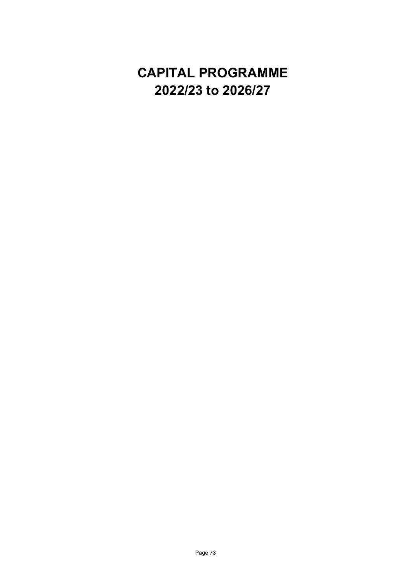## CAPITAL PROGRAMME 2022/23 to 2026/27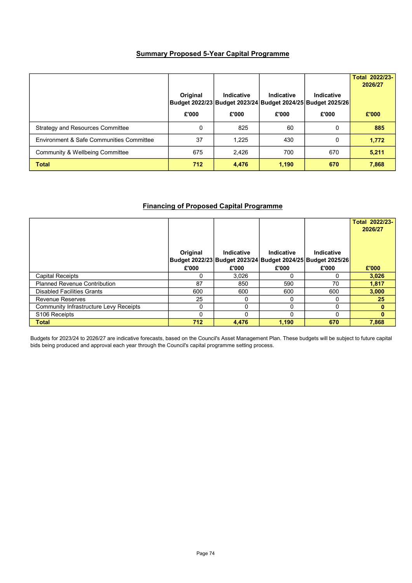## Summary Proposed 5-Year Capital Programme

|                                          | Original | Indicative | Indicative | Indicative<br>Budget 2022/23 Budget 2023/24 Budget 2024/25 Budget 2025/26 | Total 2022/23-<br>2026/27 |
|------------------------------------------|----------|------------|------------|---------------------------------------------------------------------------|---------------------------|
|                                          | £'000    | £'000      | £'000      | £'000                                                                     | £'000                     |
| <b>Strategy and Resources Committee</b>  | 0        | 825        | 60         | 0                                                                         | 885                       |
| Environment & Safe Communities Committee | 37       | 1.225      | 430        | 0                                                                         | 1,772                     |
| Community & Wellbeing Committee          | 675      | 2,426      | 700        | 670                                                                       | 5,211                     |
| <b>Total</b>                             | 712      | 4,476      | 1,190      | 670                                                                       | 7,868                     |

## Financing of Proposed Capital Programme

|                                        |          |            |                                                                           |                   | Total 2022/23-<br>2026/27 |
|----------------------------------------|----------|------------|---------------------------------------------------------------------------|-------------------|---------------------------|
|                                        | Original | Indicative | Indicative<br>Budget 2022/23 Budget 2023/24 Budget 2024/25 Budget 2025/26 | <b>Indicative</b> |                           |
|                                        | £'000    | £'000      | £'000                                                                     | £'000             | £'000                     |
| <b>Capital Receipts</b>                |          | 3,026      | 0                                                                         | 0                 | 3,026                     |
| <b>Planned Revenue Contribution</b>    | 87       | 850        | 590                                                                       | 70                | 1,817                     |
| <b>Disabled Facilities Grants</b>      | 600      | 600        | 600                                                                       | 600               | 3,000                     |
| <b>Revenue Reserves</b>                | 25       | 0          | 0                                                                         | ∩                 | 25                        |
| Community Infrastructure Levy Receipts |          | $\Omega$   | $\Omega$                                                                  | 0                 | $\mathbf{0}$              |
| S <sub>106</sub> Receipts              |          | $\Omega$   | 0                                                                         |                   | $\mathbf{0}$              |
| <b>Total</b>                           | 712      | 4,476      | 1,190                                                                     | 670               | 7,868                     |

Budgets for 2023/24 to 2026/27 are indicative forecasts, based on the Council's Asset Management Plan. These budgets will be subject to future capital bids being produced and approval each year through the Council's capital programme setting process.